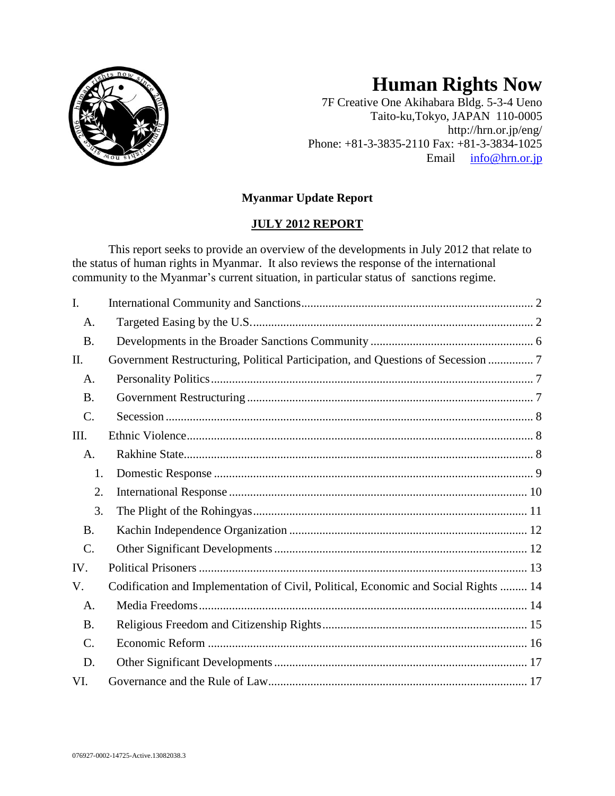

# **Human Rights Now**

7F Creative One Akihabara Bldg. 5-3-4 Ueno Taito-ku,Tokyo, JAPAN 110-0005 http://hrn.or.jp/eng/ Phone: +81-3-3835-2110 Fax: +81-3-3834-1025 Email [info@hrn.or.jp](mailto:info@hrn.or.jp)

# **Myanmar Update Report**

# **JULY 2012 REPORT**

This report seeks to provide an overview of the developments in July 2012 that relate to the status of human rights in Myanmar. It also reviews the response of the international community to the Myanmar's current situation, in particular status of sanctions regime.

| I.              |                                                                                     |
|-----------------|-------------------------------------------------------------------------------------|
| A.              |                                                                                     |
| <b>B.</b>       |                                                                                     |
| II.             | Government Restructuring, Political Participation, and Questions of Secession  7    |
| A.              |                                                                                     |
| <b>B.</b>       |                                                                                     |
| C.              |                                                                                     |
| Ш.              |                                                                                     |
| A.              |                                                                                     |
| 1.              |                                                                                     |
| 2.              |                                                                                     |
| 3.              |                                                                                     |
| <b>B.</b>       |                                                                                     |
| C.              |                                                                                     |
| IV.             |                                                                                     |
| V.              | Codification and Implementation of Civil, Political, Economic and Social Rights  14 |
| A.              |                                                                                     |
| <b>B.</b>       |                                                                                     |
| $\mathcal{C}$ . |                                                                                     |
| D.              |                                                                                     |
| VI.             |                                                                                     |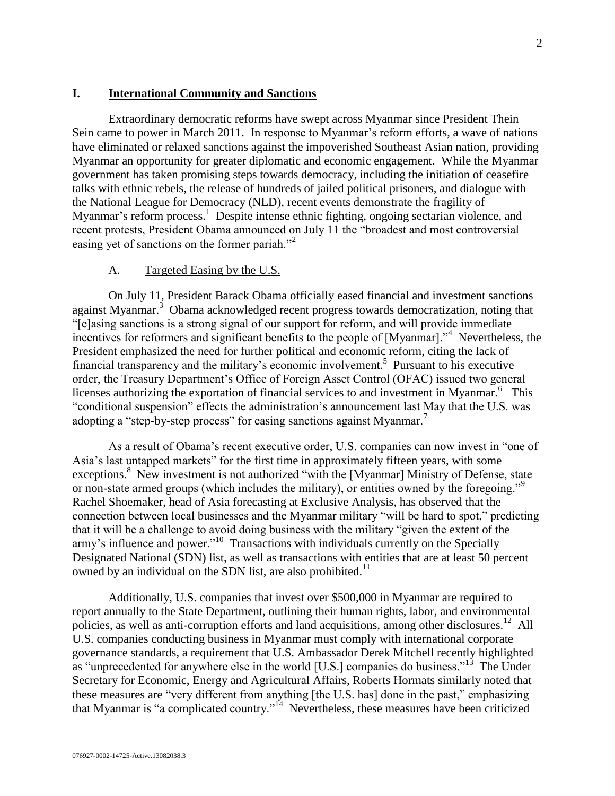#### <span id="page-1-0"></span>**I. International Community and Sanctions**

Extraordinary democratic reforms have swept across Myanmar since President Thein Sein came to power in March 2011. In response to Myanmar's reform efforts, a wave of nations have eliminated or relaxed sanctions against the impoverished Southeast Asian nation, providing Myanmar an opportunity for greater diplomatic and economic engagement. While the Myanmar government has taken promising steps towards democracy, including the initiation of ceasefire talks with ethnic rebels, the release of hundreds of jailed political prisoners, and dialogue with the National League for Democracy (NLD), recent events demonstrate the fragility of Myanmar's reform process.<sup>1</sup> Despite intense ethnic fighting, ongoing sectarian violence, and recent protests, President Obama announced on July 11 the "broadest and most controversial easing yet of sanctions on the former pariah."<sup>2</sup>

#### A. Targeted Easing by the U.S.

<span id="page-1-1"></span>On July 11, President Barack Obama officially eased financial and investment sanctions against Myanmar.<sup>3</sup> Obama acknowledged recent progress towards democratization, noting that "[e]asing sanctions is a strong signal of our support for reform, and will provide immediate incentives for reformers and significant benefits to the people of [Myanmar].<sup>34</sup> Nevertheless, the President emphasized the need for further political and economic reform, citing the lack of financial transparency and the military's economic involvement.<sup>5</sup> Pursuant to his executive order, the Treasury Department's Office of Foreign Asset Control (OFAC) issued two general licenses authorizing the exportation of financial services to and investment in Myanmar.<sup>6</sup> This "conditional suspension" effects the administration's announcement last May that the U.S. was adopting a "step-by-step process" for easing sanctions against Myanmar.<sup>7</sup>

As a result of Obama's recent executive order, U.S. companies can now invest in "one of Asia's last untapped markets" for the first time in approximately fifteen years, with some exceptions.<sup>8</sup> New investment is not authorized "with the [Myanmar] Ministry of Defense, state or non-state armed groups (which includes the military), or entities owned by the foregoing."<sup>9</sup> Rachel Shoemaker, head of Asia forecasting at Exclusive Analysis, has observed that the connection between local businesses and the Myanmar military "will be hard to spot," predicting that it will be a challenge to avoid doing business with the military "given the extent of the army's influence and power."<sup>10</sup> Transactions with individuals currently on the Specially Designated National (SDN) list, as well as transactions with entities that are at least 50 percent owned by an individual on the SDN list, are also prohibited.<sup>11</sup>

Additionally, U.S. companies that invest over \$500,000 in Myanmar are required to report annually to the State Department, outlining their human rights, labor, and environmental policies, as well as anti-corruption efforts and land acquisitions, among other disclosures.<sup>12</sup> All U.S. companies conducting business in Myanmar must comply with international corporate governance standards, a requirement that U.S. Ambassador Derek Mitchell recently highlighted as "unprecedented for anywhere else in the world [U.S.] companies do business."<sup>13</sup> The Under Secretary for Economic, Energy and Agricultural Affairs, Roberts Hormats similarly noted that these measures are "very different from anything [the U.S. has] done in the past," emphasizing that Myanmar is "a complicated country."<sup>14</sup> Nevertheless, these measures have been criticized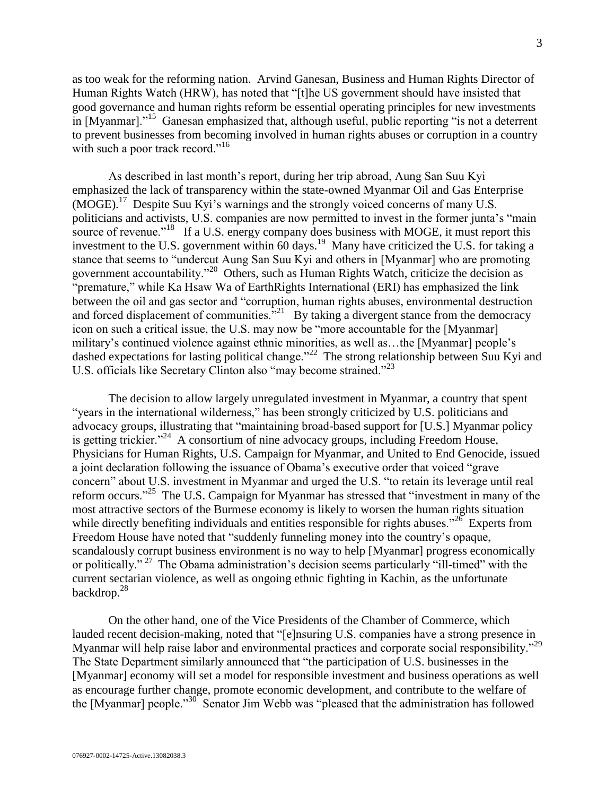as too weak for the reforming nation. Arvind Ganesan, Business and Human Rights Director of Human Rights Watch (HRW), has noted that "[t]he US government should have insisted that good governance and human rights reform be essential operating principles for new investments in [Myanmar]."<sup>15</sup> Ganesan emphasized that, although useful, public reporting "is not a deterrent to prevent businesses from becoming involved in human rights abuses or corruption in a country with such a poor track record."<sup>16</sup>

As described in last month's report, during her trip abroad, Aung San Suu Kyi emphasized the lack of transparency within the state-owned Myanmar Oil and Gas Enterprise (MOGE).<sup>17</sup> Despite Suu Kyi's warnings and the strongly voiced concerns of many U.S. politicians and activists, U.S. companies are now permitted to invest in the former junta's "main source of revenue."<sup>18</sup> If a U.S. energy company does business with MOGE, it must report this investment to the U.S. government within  $60 \text{ days}$ .<sup>19</sup> Many have criticized the U.S. for taking a stance that seems to "undercut Aung San Suu Kyi and others in [Myanmar] who are promoting government accountability."<sup>20</sup> Others, such as Human Rights Watch, criticize the decision as "premature," while Ka Hsaw Wa of EarthRights International (ERI) has emphasized the link between the oil and gas sector and "corruption, human rights abuses, environmental destruction and forced displacement of communities. $\frac{1}{2}$  By taking a divergent stance from the democracy icon on such a critical issue, the U.S. may now be "more accountable for the [Myanmar] military's continued violence against ethnic minorities, as well as…the [Myanmar] people's dashed expectations for lasting political change."<sup>22</sup> The strong relationship between Suu Kyi and U.S. officials like Secretary Clinton also "may become strained."<sup>23</sup>

The decision to allow largely unregulated investment in Myanmar, a country that spent "years in the international wilderness," has been strongly criticized by U.S. politicians and advocacy groups, illustrating that "maintaining broad-based support for [U.S.] Myanmar policy is getting trickier."<sup>24</sup> A consortium of nine advocacy groups, including Freedom House, Physicians for Human Rights, U.S. Campaign for Myanmar, and United to End Genocide, issued a joint declaration following the issuance of Obama's executive order that voiced "grave concern" about U.S. investment in Myanmar and urged the U.S. "to retain its leverage until real reform occurs."<sup>25</sup> The U.S. Campaign for Myanmar has stressed that "investment in many of the most attractive sectors of the Burmese economy is likely to worsen the human rights situation while directly benefiting individuals and entities responsible for rights abuses."<sup>26</sup> Experts from Freedom House have noted that "suddenly funneling money into the country's opaque, scandalously corrupt business environment is no way to help [Myanmar] progress economically or politically."<sup>27</sup> The Obama administration's decision seems particularly "ill-timed" with the current sectarian violence, as well as ongoing ethnic fighting in Kachin, as the unfortunate backdrop.<sup>28</sup>

On the other hand, one of the Vice Presidents of the Chamber of Commerce, which lauded recent decision-making, noted that "[e]nsuring U.S. companies have a strong presence in Myanmar will help raise labor and environmental practices and corporate social responsibility."<sup>29</sup> The State Department similarly announced that "the participation of U.S. businesses in the [Myanmar] economy will set a model for responsible investment and business operations as well as encourage further change, promote economic development, and contribute to the welfare of the [Myanmar] people."<sup>30</sup> Senator Jim Webb was "pleased that the administration has followed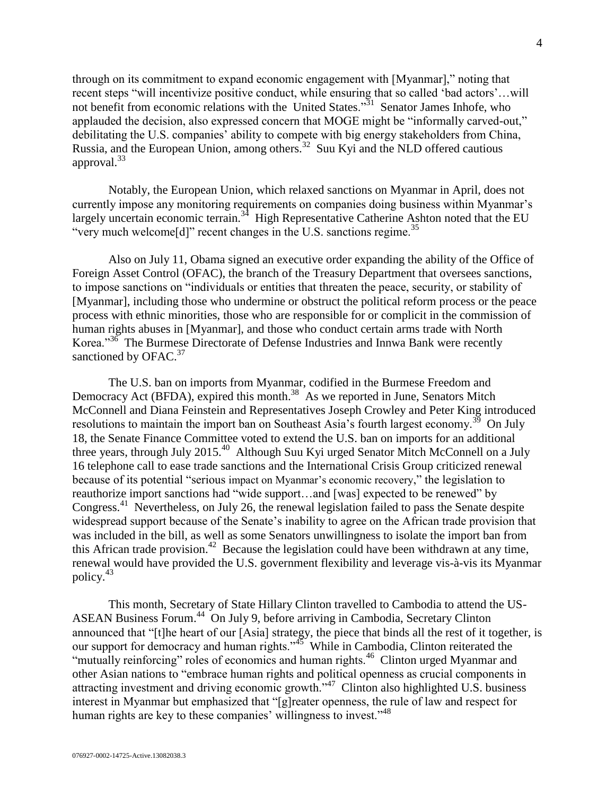through on its commitment to expand economic engagement with [Myanmar]," noting that recent steps "will incentivize positive conduct, while ensuring that so called 'bad actors'…will not benefit from economic relations with the United States."<sup>31</sup> Senator James Inhofe, who applauded the decision, also expressed concern that MOGE might be "informally carved-out," debilitating the U.S. companies' ability to compete with big energy stakeholders from China, Russia, and the European Union, among others.<sup>32</sup> Suu Kyi and the NLD offered cautious approval.<sup>33</sup>

Notably, the European Union, which relaxed sanctions on Myanmar in April, does not currently impose any monitoring requirements on companies doing business within Myanmar's largely uncertain economic terrain.<sup>34</sup> High Representative Catherine Ashton noted that the EU "very much welcome<sup>[d]"</sup> recent changes in the U.S. sanctions regime.<sup>35</sup>

Also on July 11, Obama signed an executive order expanding the ability of the Office of Foreign Asset Control (OFAC), the branch of the Treasury Department that oversees sanctions, to impose sanctions on "individuals or entities that threaten the peace, security, or stability of [Myanmar], including those who undermine or obstruct the political reform process or the peace process with ethnic minorities, those who are responsible for or complicit in the commission of human rights abuses in [Myanmar], and those who conduct certain arms trade with North Korea."<sup>36</sup> The Burmese Directorate of Defense Industries and Innwa Bank were recently sanctioned by OFAC.<sup>37</sup>

The U.S. ban on imports from Myanmar, codified in the Burmese Freedom and Democracy Act (BFDA), expired this month.<sup>38</sup> As we reported in June, Senators Mitch McConnell and Diana Feinstein and Representatives Joseph Crowley and Peter King introduced resolutions to maintain the import ban on Southeast Asia's fourth largest economy.<sup>39</sup> On July 18, the Senate Finance Committee voted to extend the U.S. ban on imports for an additional three years, through July 2015.<sup>40</sup> Although Suu Kyi urged Senator Mitch McConnell on a July 16 telephone call to ease trade sanctions and the International Crisis Group criticized renewal because of its potential "serious impact on Myanmar's economic recovery," the legislation to reauthorize import sanctions had "wide support…and [was] expected to be renewed" by Congress.<sup>41</sup> Nevertheless, on July 26, the renewal legislation failed to pass the Senate despite widespread support because of the Senate's inability to agree on the African trade provision that was included in the bill, as well as some Senators unwillingness to isolate the import ban from this African trade provision.<sup>42</sup> Because the legislation could have been withdrawn at any time, renewal would have provided the U.S. government flexibility and leverage vis-à-vis its Myanmar policy.<sup>43</sup>

This month, Secretary of State Hillary Clinton travelled to Cambodia to attend the US-ASEAN Business Forum.<sup>44</sup> On July 9, before arriving in Cambodia, Secretary Clinton announced that "[t]he heart of our [Asia] strategy, the piece that binds all the rest of it together, is our support for democracy and human rights."<sup>45</sup> While in Cambodia, Clinton reiterated the "mutually reinforcing" roles of economics and human rights.<sup>46</sup> Clinton urged Myanmar and other Asian nations to "embrace human rights and political openness as crucial components in attracting investment and driving economic growth."<sup>47</sup> Clinton also highlighted U.S. business interest in Myanmar but emphasized that "[g]reater openness, the rule of law and respect for human rights are key to these companies' willingness to invest."<sup>48</sup>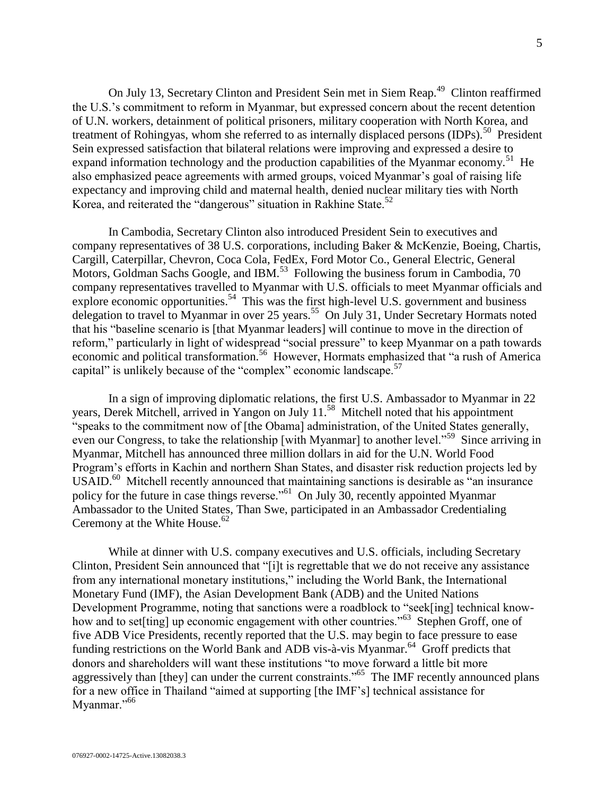On July 13, Secretary Clinton and President Sein met in Siem Reap.<sup>49</sup> Clinton reaffirmed the U.S.'s commitment to reform in Myanmar, but expressed concern about the recent detention of U.N. workers, detainment of political prisoners, military cooperation with North Korea, and treatment of Rohingyas, whom she referred to as internally displaced persons (IDPs).<sup>50</sup> President Sein expressed satisfaction that bilateral relations were improving and expressed a desire to expand information technology and the production capabilities of the Myanmar economy.<sup>51</sup> He also emphasized peace agreements with armed groups, voiced Myanmar's goal of raising life expectancy and improving child and maternal health, denied nuclear military ties with North Korea, and reiterated the "dangerous" situation in Rakhine State.<sup>52</sup>

In Cambodia, Secretary Clinton also introduced President Sein to executives and company representatives of 38 U.S. corporations, including Baker & McKenzie, Boeing, Chartis, Cargill, Caterpillar, Chevron, Coca Cola, FedEx, Ford Motor Co., General Electric, General Motors, Goldman Sachs Google, and IBM.<sup>53</sup> Following the business forum in Cambodia, 70 company representatives travelled to Myanmar with U.S. officials to meet Myanmar officials and explore economic opportunities.<sup>54</sup> This was the first high-level U.S. government and business delegation to travel to Myanmar in over 25 years.<sup>55</sup> On July 31, Under Secretary Hormats noted that his "baseline scenario is [that Myanmar leaders] will continue to move in the direction of reform," particularly in light of widespread "social pressure" to keep Myanmar on a path towards economic and political transformation.<sup>56</sup> However, Hormats emphasized that "a rush of America capital" is unlikely because of the "complex" economic landscape.<sup>57</sup>

In a sign of improving diplomatic relations, the first U.S. Ambassador to Myanmar in 22 years, Derek Mitchell, arrived in Yangon on July 11.<sup>58</sup> Mitchell noted that his appointment "speaks to the commitment now of [the Obama] administration, of the United States generally, even our Congress, to take the relationship [with Myanmar] to another level."<sup>59</sup> Since arriving in Myanmar, Mitchell has announced three million dollars in aid for the U.N. World Food Program's efforts in Kachin and northern Shan States, and disaster risk reduction projects led by USAID.<sup>60</sup> Mitchell recently announced that maintaining sanctions is desirable as "an insurance policy for the future in case things reverse."<sup>61</sup> On July 30, recently appointed Myanmar Ambassador to the United States, Than Swe, participated in an Ambassador Credentialing Ceremony at the White House. $62$ 

While at dinner with U.S. company executives and U.S. officials, including Secretary Clinton, President Sein announced that "[i]t is regrettable that we do not receive any assistance from any international monetary institutions," including the World Bank, the International Monetary Fund (IMF), the Asian Development Bank (ADB) and the United Nations Development Programme, noting that sanctions were a roadblock to "seek[ing] technical knowhow and to set[ting] up economic engagement with other countries."<sup>63</sup> Stephen Groff, one of five ADB Vice Presidents, recently reported that the U.S. may begin to face pressure to ease funding restrictions on the World Bank and ADB vis-à-vis Myanmar.<sup>64</sup> Groff predicts that donors and shareholders will want these institutions "to move forward a little bit more aggressively than [they] can under the current constraints."<sup>65</sup> The IMF recently announced plans for a new office in Thailand "aimed at supporting [the IMF's] technical assistance for Myanmar."<sup>66</sup>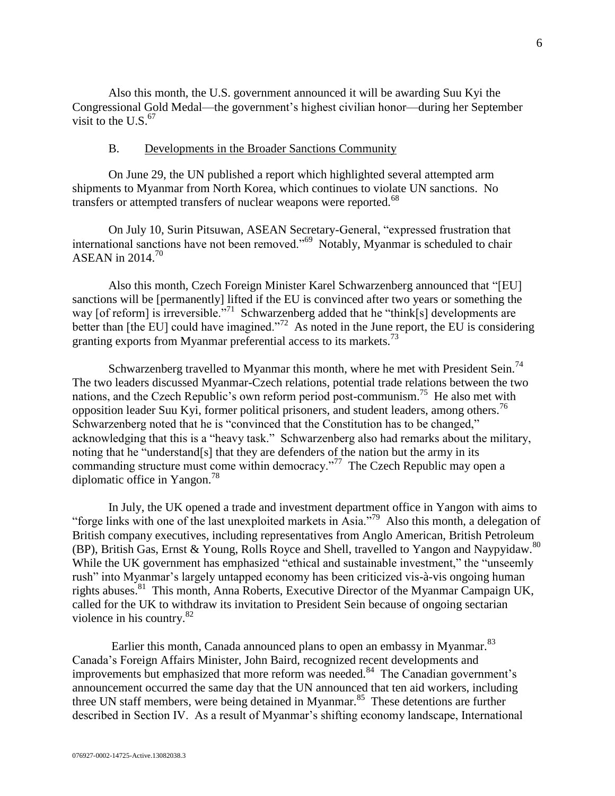Also this month, the U.S. government announced it will be awarding Suu Kyi the Congressional Gold Medal—the government's highest civilian honor—during her September visit to the U.S. $<sup>67</sup>$ </sup>

#### B. Developments in the Broader Sanctions Community

<span id="page-5-0"></span>On June 29, the UN published a report which highlighted several attempted arm shipments to Myanmar from North Korea, which continues to violate UN sanctions. No transfers or attempted transfers of nuclear weapons were reported.<sup>68</sup>

On July 10, Surin Pitsuwan, ASEAN Secretary-General, "expressed frustration that international sanctions have not been removed."<sup>69</sup> Notably, Myanmar is scheduled to chair ASEAN in  $2014.<sup>70</sup>$ 

Also this month, Czech Foreign Minister Karel Schwarzenberg announced that "[EU] sanctions will be [permanently] lifted if the EU is convinced after two years or something the way [of reform] is irreversible."<sup>71</sup> Schwarzenberg added that he "think[s] developments are better than [the EU] could have imagined."<sup>72</sup> As noted in the June report, the EU is considering granting exports from Myanmar preferential access to its markets.<sup>73</sup>

Schwarzenberg travelled to Myanmar this month, where he met with President Sein.<sup>74</sup> The two leaders discussed Myanmar-Czech relations, potential trade relations between the two nations, and the Czech Republic's own reform period post-communism.<sup>75</sup> He also met with opposition leader Suu Kyi, former political prisoners, and student leaders, among others.<sup>76</sup> Schwarzenberg noted that he is "convinced that the Constitution has to be changed," acknowledging that this is a "heavy task." Schwarzenberg also had remarks about the military, noting that he "understand[s] that they are defenders of the nation but the army in its commanding structure must come within democracy."<sup>77</sup> The Czech Republic may open a diplomatic office in Yangon.<sup>78</sup>

In July, the UK opened a trade and investment department office in Yangon with aims to "forge links with one of the last unexploited markets in Asia."<sup>79</sup> Also this month, a delegation of British company executives, including representatives from Anglo American, British Petroleum (BP), British Gas, Ernst & Young, Rolls Royce and Shell, travelled to Yangon and Naypyidaw.<sup>80</sup> While the UK government has emphasized "ethical and sustainable investment," the "unseemly rush" into Myanmar's largely untapped economy has been criticized vis-à-vis ongoing human rights abuses.<sup>81</sup> This month, Anna Roberts, Executive Director of the Myanmar Campaign UK, called for the UK to withdraw its invitation to President Sein because of ongoing sectarian violence in his country.<sup>82</sup>

Earlier this month, Canada announced plans to open an embassy in Myanmar.<sup>83</sup> Canada's Foreign Affairs Minister, John Baird, recognized recent developments and improvements but emphasized that more reform was needed. $84$  The Canadian government's announcement occurred the same day that the UN announced that ten aid workers, including three UN staff members, were being detained in Myanmar.<sup>85</sup> These detentions are further described in Section IV. As a result of Myanmar's shifting economy landscape, International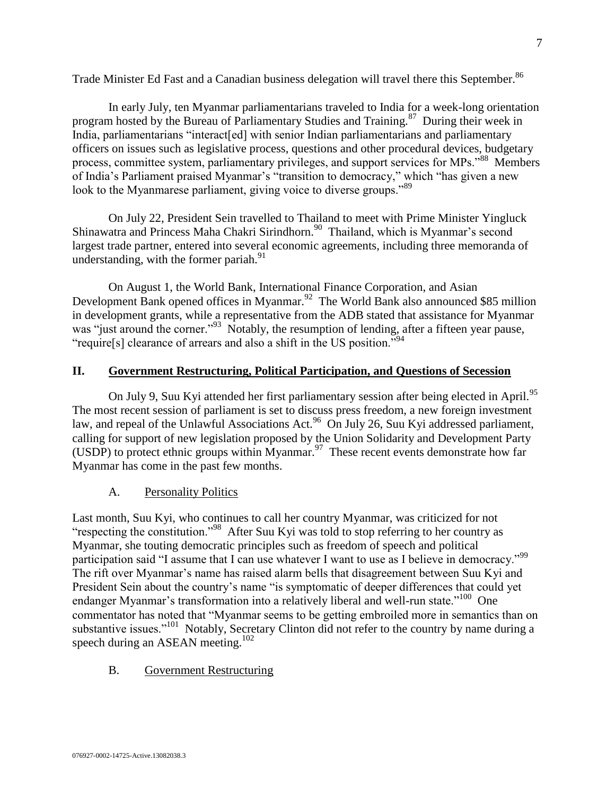Trade Minister Ed Fast and a Canadian business delegation will travel there this September.<sup>86</sup>

In early July, ten Myanmar parliamentarians traveled to India for a week-long orientation program hosted by the Bureau of Parliamentary Studies and Training.<sup>87</sup> During their week in India, parliamentarians "interact[ed] with senior Indian parliamentarians and parliamentary officers on issues such as legislative process, questions and other procedural devices, budgetary process, committee system, parliamentary privileges, and support services for MPs."<sup>88</sup> Members of India's Parliament praised Myanmar's "transition to democracy," which "has given a new look to the Myanmarese parliament, giving voice to diverse groups."<sup>89</sup>

On July 22, President Sein travelled to Thailand to meet with Prime Minister Yingluck Shinawatra and Princess Maha Chakri Sirindhorn.<sup>90</sup> Thailand, which is Myanmar's second largest trade partner, entered into several economic agreements, including three memoranda of understanding, with the former pariah. $91$ 

On August 1, the World Bank, International Finance Corporation, and Asian Development Bank opened offices in Myanmar.<sup>92</sup> The World Bank also announced \$85 million in development grants, while a representative from the ADB stated that assistance for Myanmar was "just around the corner."<sup>93</sup> Notably, the resumption of lending, after a fifteen year pause, "require[s] clearance of arrears and also a shift in the US position."<sup>94</sup>

## <span id="page-6-0"></span>**II. Government Restructuring, Political Participation, and Questions of Secession**

On July 9, Suu Kyi attended her first parliamentary session after being elected in April.<sup>95</sup> The most recent session of parliament is set to discuss press freedom, a new foreign investment law, and repeal of the Unlawful Associations Act.<sup>96</sup> On July 26, Suu Kyi addressed parliament, calling for support of new legislation proposed by the Union Solidarity and Development Party (USDP) to protect ethnic groups within Myanmar.<sup>97</sup> These recent events demonstrate how far Myanmar has come in the past few months.

## A. Personality Politics

<span id="page-6-1"></span>Last month, Suu Kyi, who continues to call her country Myanmar, was criticized for not "respecting the constitution."<sup>98</sup> After Suu Kyi was told to stop referring to her country as Myanmar, she touting democratic principles such as freedom of speech and political participation said "I assume that I can use whatever I want to use as I believe in democracy."<sup>99</sup> The rift over Myanmar's name has raised alarm bells that disagreement between Suu Kyi and President Sein about the country's name "is symptomatic of deeper differences that could yet endanger Myanmar's transformation into a relatively liberal and well-run state."<sup>100</sup> One commentator has noted that "Myanmar seems to be getting embroiled more in semantics than on substantive issues."<sup>101</sup> Notably, Secretary Clinton did not refer to the country by name during a speech during an ASEAN meeting.<sup>102</sup>

## <span id="page-6-2"></span>B. Government Restructuring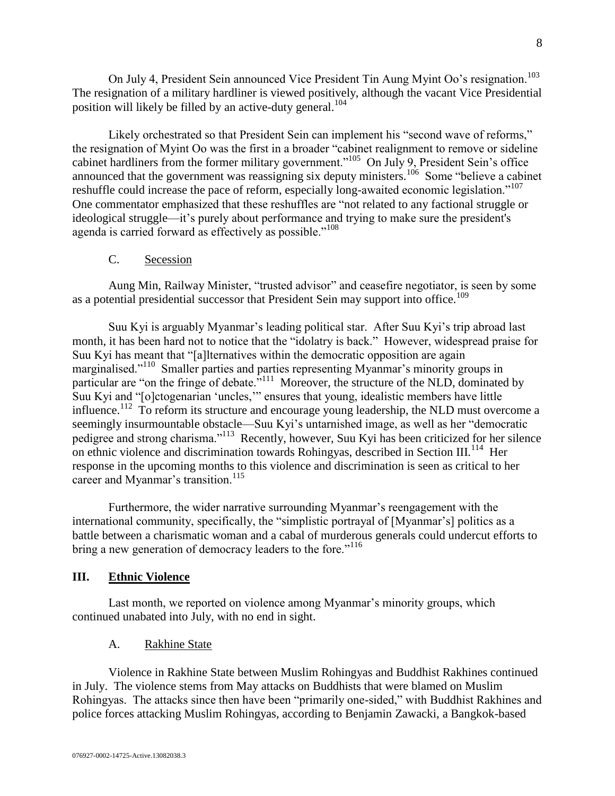On July 4, President Sein announced Vice President Tin Aung Myint Oo's resignation.<sup>103</sup> The resignation of a military hardliner is viewed positively, although the vacant Vice Presidential position will likely be filled by an active-duty general.<sup>104</sup>

Likely orchestrated so that President Sein can implement his "second wave of reforms," the resignation of Myint Oo was the first in a broader "cabinet realignment to remove or sideline cabinet hardliners from the former military government."<sup>105</sup> On July 9, President Sein's office announced that the government was reassigning six deputy ministers.<sup>106</sup> Some "believe a cabinet reshuffle could increase the pace of reform, especially long-awaited economic legislation."<sup>107</sup> One commentator emphasized that these reshuffles are "not related to any factional struggle or ideological struggle—it's purely about performance and trying to make sure the president's agenda is carried forward as effectively as possible."<sup>108</sup>

## C. Secession

<span id="page-7-0"></span>Aung Min, Railway Minister, "trusted advisor" and ceasefire negotiator, is seen by some as a potential presidential successor that President Sein may support into office.<sup>109</sup>

Suu Kyi is arguably Myanmar's leading political star. After Suu Kyi's trip abroad last month, it has been hard not to notice that the "idolatry is back." However, widespread praise for Suu Kyi has meant that "[a]lternatives within the democratic opposition are again marginalised."<sup>110</sup> Smaller parties and parties representing Myanmar's minority groups in particular are "on the fringe of debate."<sup>111</sup> Moreover, the structure of the NLD, dominated by Suu Kyi and "[o]ctogenarian 'uncles,'" ensures that young, idealistic members have little influence.<sup>112</sup> To reform its structure and encourage young leadership, the NLD must overcome a seemingly insurmountable obstacle—Suu Kyi's untarnished image, as well as her "democratic pedigree and strong charisma."<sup>113</sup> Recently, however, Suu Kyi has been criticized for her silence on ethnic violence and discrimination towards Rohingyas, described in Section III.<sup>114</sup> Her response in the upcoming months to this violence and discrimination is seen as critical to her career and Myanmar's transition.<sup>115</sup>

Furthermore, the wider narrative surrounding Myanmar's reengagement with the international community, specifically, the "simplistic portrayal of [Myanmar's] politics as a battle between a charismatic woman and a cabal of murderous generals could undercut efforts to bring a new generation of democracy leaders to the fore."<sup>116</sup>

## <span id="page-7-1"></span>**III. Ethnic Violence**

Last month, we reported on violence among Myanmar's minority groups, which continued unabated into July, with no end in sight.

## A. Rakhine State

<span id="page-7-2"></span>Violence in Rakhine State between Muslim Rohingyas and Buddhist Rakhines continued in July. The violence stems from May attacks on Buddhists that were blamed on Muslim Rohingyas. The attacks since then have been "primarily one-sided," with Buddhist Rakhines and police forces attacking Muslim Rohingyas, according to Benjamin Zawacki, a Bangkok-based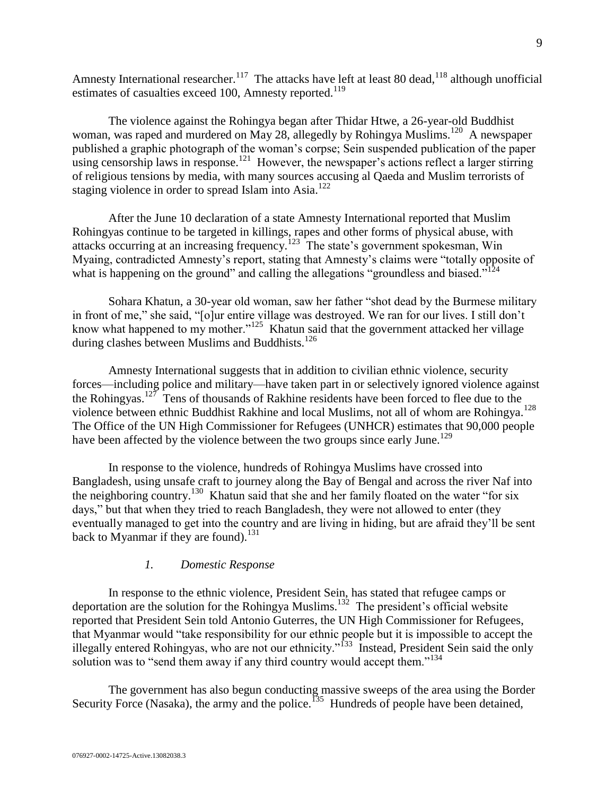Amnesty International researcher.<sup>117</sup> The attacks have left at least 80 dead,<sup>118</sup> although unofficial estimates of casualties exceed 100, Amnesty reported.<sup>119</sup>

The violence against the Rohingya began after Thidar Htwe, a 26-year-old Buddhist woman, was raped and murdered on May 28, allegedly by Rohingya Muslims.<sup>120</sup> A newspaper published a graphic photograph of the woman's corpse; Sein suspended publication of the paper  $\frac{1}{2}$  using censorship laws in response.<sup>121</sup> However, the newspaper's actions reflect a larger stirring of religious tensions by media, with many sources accusing al Qaeda and Muslim terrorists of staging violence in order to spread Islam into Asia.<sup>122</sup>

After the June 10 declaration of a state Amnesty International reported that Muslim Rohingyas continue to be targeted in killings, rapes and other forms of physical abuse, with attacks occurring at an increasing frequency.<sup>123</sup> The state's government spokesman, Win Myaing, contradicted Amnesty's report, stating that Amnesty's claims were "totally opposite of what is happening on the ground" and calling the allegations "groundless and biased." $124$ 

Sohara Khatun, a 30-year old woman, saw her father "shot dead by the Burmese military in front of me," she said, "[o]ur entire village was destroyed. We ran for our lives. I still don't know what happened to my mother."<sup>125</sup> Khatun said that the government attacked her village during clashes between Muslims and Buddhists.<sup>126</sup>

Amnesty International suggests that in addition to civilian ethnic violence, security forces—including police and military—have taken part in or selectively ignored violence against the Rohingyas.<sup>127</sup> Tens of thousands of Rakhine residents have been forced to flee due to the violence between ethnic Buddhist Rakhine and local Muslims, not all of whom are Rohingya.<sup>128</sup> The Office of the UN High Commissioner for Refugees (UNHCR) estimates that 90,000 people have been affected by the violence between the two groups since early June.<sup>129</sup>

In response to the violence, hundreds of Rohingya Muslims have crossed into Bangladesh, using unsafe craft to journey along the Bay of Bengal and across the river Naf into the neighboring country.<sup>130</sup> Khatun said that she and her family floated on the water "for six days," but that when they tried to reach Bangladesh, they were not allowed to enter (they eventually managed to get into the country and are living in hiding, but are afraid they'll be sent back to Myanmar if they are found).<sup>131</sup>

## *1. Domestic Response*

<span id="page-8-0"></span>In response to the ethnic violence, President Sein, has stated that refugee camps or deportation are the solution for the Rohingya Muslims.<sup>132</sup> The president's official website reported that President Sein told Antonio Guterres, the UN High Commissioner for Refugees, that Myanmar would "take responsibility for our ethnic people but it is impossible to accept the illegally entered Rohingyas, who are not our ethnicity."<sup>133</sup> Instead, President Sein said the only solution was to "send them away if any third country would accept them."<sup>134</sup>

The government has also begun conducting massive sweeps of the area using the Border Security Force (Nasaka), the army and the police.<sup>135</sup> Hundreds of people have been detained,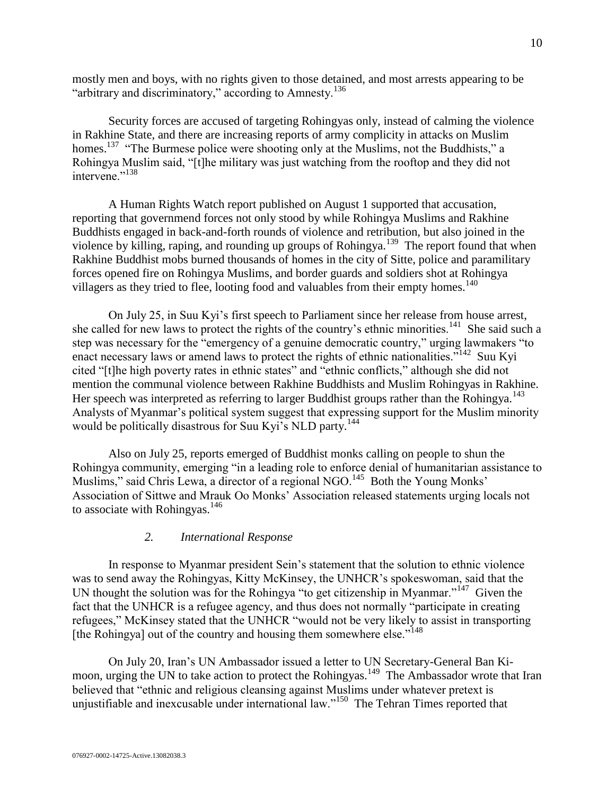mostly men and boys, with no rights given to those detained, and most arrests appearing to be "arbitrary and discriminatory," according to Amnesty.<sup>136</sup>

Security forces are accused of targeting Rohingyas only, instead of calming the violence in Rakhine State, and there are increasing reports of army complicity in attacks on Muslim homes.<sup>137</sup> "The Burmese police were shooting only at the Muslims, not the Buddhists," a Rohingya Muslim said, "[t]he military was just watching from the rooftop and they did not intervene<sup>",138</sup>

A Human Rights Watch report published on August 1 supported that accusation, reporting that governmend forces not only stood by while Rohingya Muslims and Rakhine Buddhists engaged in back-and-forth rounds of violence and retribution, but also joined in the violence by killing, raping, and rounding up groups of Rohingya.<sup>139</sup> The report found that when Rakhine Buddhist mobs burned thousands of homes in the city of Sitte, police and paramilitary forces opened fire on Rohingya Muslims, and border guards and soldiers shot at Rohingya villagers as they tried to flee, looting food and valuables from their empty homes.<sup>140</sup>

On July 25, in Suu Kyi's first speech to Parliament since her release from house arrest, she called for new laws to protect the rights of the country's ethnic minorities.<sup>141</sup> She said such a step was necessary for the "emergency of a genuine democratic country," urging lawmakers "to enact necessary laws or amend laws to protect the rights of ethnic nationalities."<sup>142</sup> Suu Kyi cited "[t]he high poverty rates in ethnic states" and "ethnic conflicts," although she did not mention the communal violence between Rakhine Buddhists and Muslim Rohingyas in Rakhine. Her speech was interpreted as referring to larger Buddhist groups rather than the Rohingya.<sup>143</sup> Analysts of Myanmar's political system suggest that expressing support for the Muslim minority would be politically disastrous for Suu Kyi's NLD party.<sup>144</sup>

Also on July 25, reports emerged of Buddhist monks calling on people to shun the Rohingya community, emerging "in a leading role to enforce denial of humanitarian assistance to Muslims," said Chris Lewa, a director of a regional NGO.<sup>145</sup> Both the Young Monks' Association of Sittwe and Mrauk Oo Monks' Association released statements urging locals not to associate with Rohingyas. $146$ 

#### *2. International Response*

<span id="page-9-0"></span>In response to Myanmar president Sein's statement that the solution to ethnic violence was to send away the Rohingyas, Kitty McKinsey, the UNHCR's spokeswoman, said that the UN thought the solution was for the Rohingya "to get citizenship in Myanmar." $147$  Given the fact that the UNHCR is a refugee agency, and thus does not normally "participate in creating refugees," McKinsey stated that the UNHCR "would not be very likely to assist in transporting [the Rohingya] out of the country and housing them somewhere else."<sup>148</sup>

On July 20, Iran's UN Ambassador issued a letter to UN Secretary-General Ban Kimoon, urging the UN to take action to protect the Rohingyas.<sup>149</sup> The Ambassador wrote that Iran believed that "ethnic and religious cleansing against Muslims under whatever pretext is unjustifiable and inexcusable under international law."<sup>150</sup> The Tehran Times reported that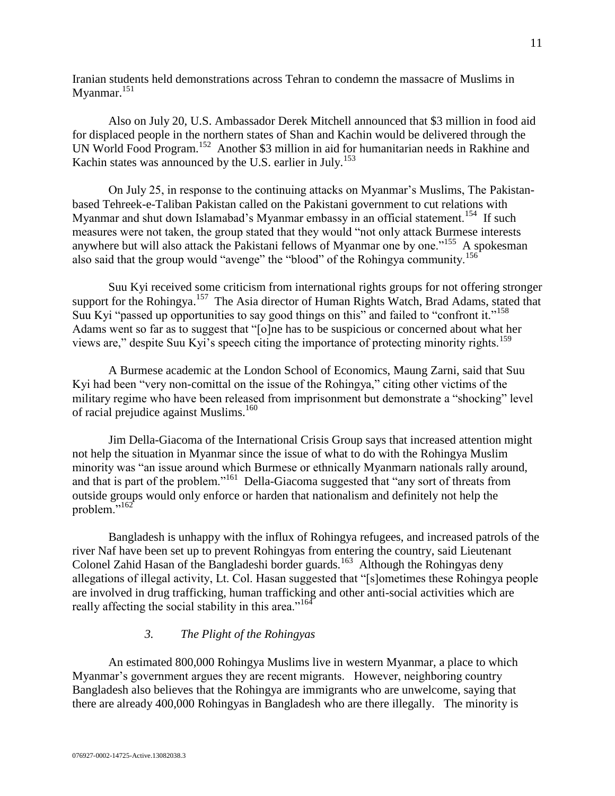Iranian students held demonstrations across Tehran to condemn the massacre of Muslims in Myanmar.<sup>151</sup>

Also on July 20, U.S. Ambassador Derek Mitchell announced that \$3 million in food aid for displaced people in the northern states of Shan and Kachin would be delivered through the UN World Food Program.<sup>152</sup> Another \$3 million in aid for humanitarian needs in Rakhine and Kachin states was announced by the U.S. earlier in July.<sup>153</sup>

On July 25, in response to the continuing attacks on Myanmar's Muslims, The Pakistanbased Tehreek-e-Taliban Pakistan called on the Pakistani government to cut relations with Myanmar and shut down Islamabad's Myanmar embassy in an official statement.<sup>154</sup> If such measures were not taken, the group stated that they would "not only attack Burmese interests anywhere but will also attack the Pakistani fellows of Myanmar one by one."<sup>155</sup> A spokesman also said that the group would "avenge" the "blood" of the Rohingya community.<sup>156</sup>

Suu Kyi received some criticism from international rights groups for not offering stronger support for the Rohingya.<sup>157</sup> The Asia director of Human Rights Watch, Brad Adams, stated that Suu Kyi "passed up opportunities to say good things on this" and failed to "confront it."<sup>158</sup> Adams went so far as to suggest that "[o]ne has to be suspicious or concerned about what her views are," despite Suu Kyi's speech citing the importance of protecting minority rights.<sup>159</sup>

A Burmese academic at the London School of Economics, Maung Zarni, said that Suu Kyi had been "very non-comittal on the issue of the Rohingya," citing other victims of the military regime who have been released from imprisonment but demonstrate a "shocking" level of racial prejudice against Muslims.<sup>160</sup>

Jim Della-Giacoma of the International Crisis Group says that increased attention might not help the situation in Myanmar since the issue of what to do with the Rohingya Muslim minority was "an issue around which Burmese or ethnically Myanmarn nationals rally around, and that is part of the problem."<sup>161</sup> Della-Giacoma suggested that "any sort of threats from outside groups would only enforce or harden that nationalism and definitely not help the problem."<sup>162</sup>

Bangladesh is unhappy with the influx of Rohingya refugees, and increased patrols of the river Naf have been set up to prevent Rohingyas from entering the country, said Lieutenant Colonel Zahid Hasan of the Bangladeshi border guards.<sup>163</sup> Although the Rohingyas deny allegations of illegal activity, Lt. Col. Hasan suggested that "[s]ometimes these Rohingya people are involved in drug trafficking, human trafficking and other anti-social activities which are really affecting the social stability in this area."<sup>164</sup>

## *3. The Plight of the Rohingyas*

<span id="page-10-0"></span>An estimated 800,000 Rohingya Muslims live in western Myanmar, a place to which Myanmar's government argues they are recent migrants. However, neighboring country Bangladesh also believes that the Rohingya are immigrants who are unwelcome, saying that there are already 400,000 Rohingyas in Bangladesh who are there illegally. The minority is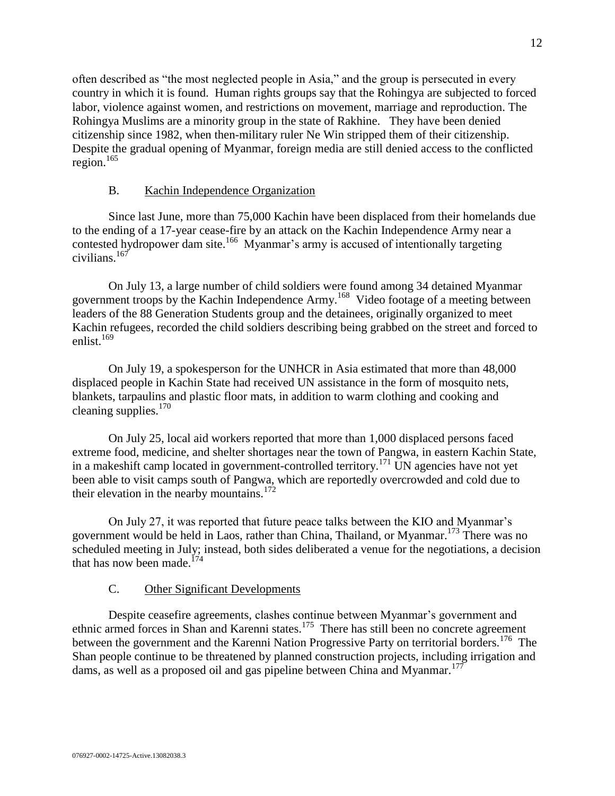often described as "the most neglected people in Asia," and the group is persecuted in every country in which it is found. Human rights groups say that the Rohingya are subjected to forced labor, violence against women, and restrictions on movement, marriage and reproduction. The Rohingya Muslims are a minority group in the state of Rakhine. They have been denied citizenship since 1982, when then-military ruler Ne Win stripped them of their citizenship. Despite the gradual opening of Myanmar, foreign media are still denied access to the conflicted  $region.<sup>165</sup>$ 

## B. Kachin Independence Organization

<span id="page-11-0"></span>Since last June, more than 75,000 Kachin have been displaced from their homelands due to the ending of a 17-year cease-fire by an attack on the Kachin Independence Army near a contested hydropower dam site.<sup>166</sup> Myanmar's army is accused of intentionally targeting civilians.<sup>167</sup>

On July 13, a large number of child soldiers were found among 34 detained Myanmar government troops by the Kachin Independence Army.<sup>168</sup> Video footage of a meeting between leaders of the 88 Generation Students group and the detainees, originally organized to meet Kachin refugees, recorded the child soldiers describing being grabbed on the street and forced to enlist. $169$ 

On July 19, a spokesperson for the UNHCR in Asia estimated that more than 48,000 displaced people in Kachin State had received UN assistance in the form of mosquito nets, blankets, tarpaulins and plastic floor mats, in addition to warm clothing and cooking and cleaning supplies. 170

On July 25, local aid workers reported that more than 1,000 displaced persons faced extreme food, medicine, and shelter shortages near the town of Pangwa, in eastern Kachin State, in a makeshift camp located in government-controlled territory.<sup>171</sup> UN agencies have not yet been able to visit camps south of Pangwa, which are reportedly overcrowded and cold due to their elevation in the nearby mountains.<sup>172</sup>

On July 27, it was reported that future peace talks between the KIO and Myanmar's government would be held in Laos, rather than China, Thailand, or Myanmar.<sup>173</sup> There was no scheduled meeting in July; instead, both sides deliberated a venue for the negotiations, a decision that has now been made.<sup>174</sup>

## C. Other Significant Developments

<span id="page-11-1"></span>Despite ceasefire agreements, clashes continue between Myanmar's government and ethnic armed forces in Shan and Karenni states.<sup>175</sup> There has still been no concrete agreement between the government and the Karenni Nation Progressive Party on territorial borders.<sup>176</sup> The Shan people continue to be threatened by planned construction projects, including irrigation and dams, as well as a proposed oil and gas pipeline between China and Myanmar.<sup>177</sup>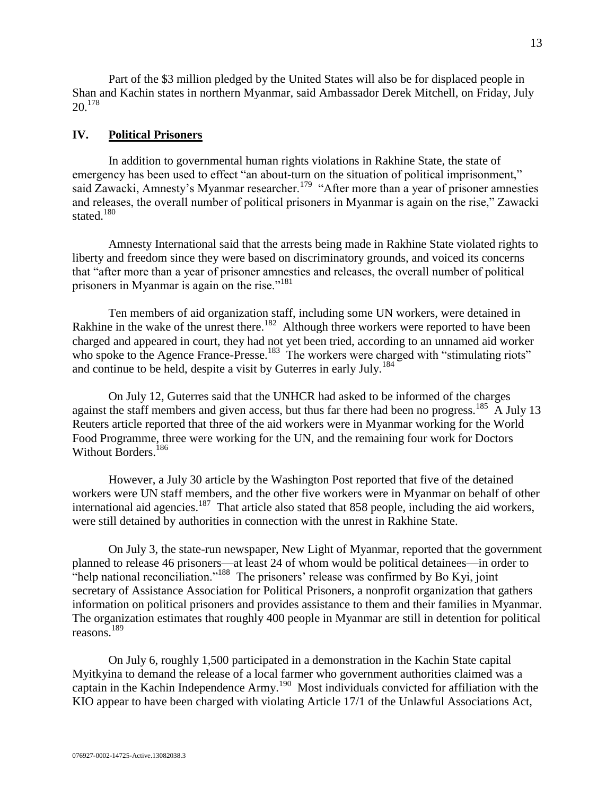Part of the \$3 million pledged by the United States will also be for displaced people in Shan and Kachin states in northern Myanmar, said Ambassador Derek Mitchell, on Friday, July  $20.178$ 

#### <span id="page-12-0"></span>**IV. Political Prisoners**

In addition to governmental human rights violations in Rakhine State, the state of emergency has been used to effect "an about-turn on the situation of political imprisonment," said Zawacki, Amnesty's Myanmar researcher.<sup>179</sup> "After more than a year of prisoner amnesties and releases, the overall number of political prisoners in Myanmar is again on the rise," Zawacki stated.<sup>180</sup>

Amnesty International said that the arrests being made in Rakhine State violated rights to liberty and freedom since they were based on discriminatory grounds, and voiced its concerns that "after more than a year of prisoner amnesties and releases, the overall number of political prisoners in Myanmar is again on the rise."<sup>181</sup>

Ten members of aid organization staff, including some UN workers, were detained in Rakhine in the wake of the unrest there.<sup>182</sup> Although three workers were reported to have been charged and appeared in court, they had not yet been tried, according to an unnamed aid worker who spoke to the Agence France-Presse.<sup>183</sup> The workers were charged with "stimulating riots" and continue to be held, despite a visit by Guterres in early  $\text{July.}^{184}$ 

On July 12, Guterres said that the UNHCR had asked to be informed of the charges against the staff members and given access, but thus far there had been no progress.<sup>185</sup> A July 13 Reuters article reported that three of the aid workers were in Myanmar working for the World Food Programme, three were working for the UN, and the remaining four work for Doctors Without Borders.<sup>186</sup>

However, a July 30 article by the Washington Post reported that five of the detained workers were UN staff members, and the other five workers were in Myanmar on behalf of other international aid agencies.<sup>187</sup> That article also stated that 858 people, including the aid workers, were still detained by authorities in connection with the unrest in Rakhine State.

On July 3, the state-run newspaper, New Light of Myanmar, reported that the government planned to release 46 prisoners—at least 24 of whom would be political detainees—in order to "help national reconciliation."<sup>188</sup> The prisoners' release was confirmed by Bo Kyi, joint secretary of Assistance Association for Political Prisoners, a nonprofit organization that gathers information on political prisoners and provides assistance to them and their families in Myanmar. The organization estimates that roughly 400 people in Myanmar are still in detention for political reasons.<sup>189</sup>

On July 6, roughly 1,500 participated in a demonstration in the Kachin State capital Myitkyina to demand the release of a local farmer who government authorities claimed was a captain in the Kachin Independence Army.<sup>190</sup> Most individuals convicted for affiliation with the KIO appear to have been charged with violating Article 17/1 of the Unlawful Associations Act,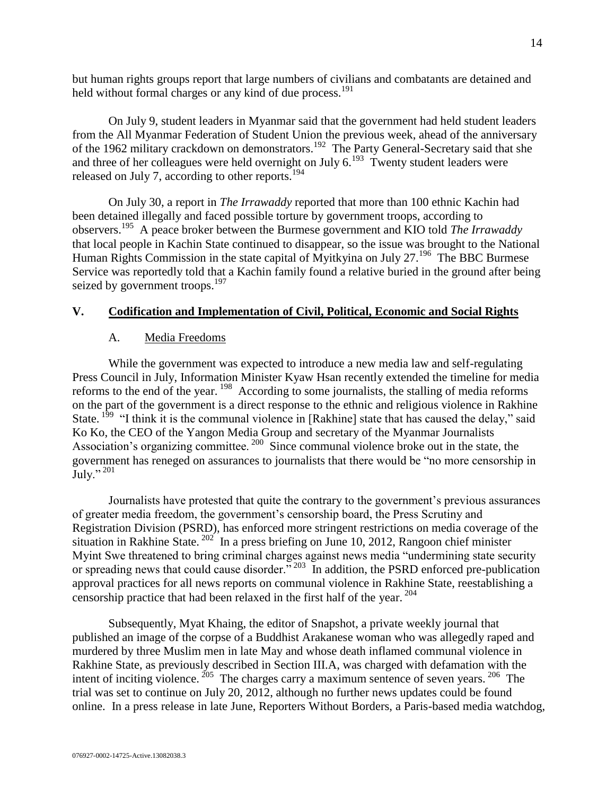but human rights groups report that large numbers of civilians and combatants are detained and held without formal charges or any kind of due process.<sup>191</sup>

On July 9, student leaders in Myanmar said that the government had held student leaders from the All Myanmar Federation of Student Union the previous week, ahead of the anniversary of the 1962 military crackdown on demonstrators.<sup>192</sup> The Party General-Secretary said that she and three of her colleagues were held overnight on July  $6.193$  Twenty student leaders were released on July 7, according to other reports.<sup>194</sup>

On July 30, a report in *The Irrawaddy* reported that more than 100 ethnic Kachin had been detained illegally and faced possible torture by government troops, according to observers.<sup>195</sup> A peace broker between the Burmese government and KIO told *The Irrawaddy* that local people in Kachin State continued to disappear, so the issue was brought to the National Human Rights Commission in the state capital of Myitkyina on July 27.<sup>196</sup> The BBC Burmese Service was reportedly told that a Kachin family found a relative buried in the ground after being seized by government troops.<sup>197</sup>

## <span id="page-13-1"></span><span id="page-13-0"></span>**V. Codification and Implementation of Civil, Political, Economic and Social Rights**

## A. Media Freedoms

While the government was expected to introduce a new media law and self-regulating Press Council in July, Information Minister Kyaw Hsan recently extended the timeline for media reforms to the end of the year.  $198$  According to some journalists, the stalling of media reforms on the part of the government is a direct response to the ethnic and religious violence in Rakhine State.  $1^{99}$  "I think it is the communal violence in [Rakhine] state that has caused the delay," said Ko Ko, the CEO of the Yangon Media Group and secretary of the Myanmar Journalists Association's organizing committee.<sup>200</sup> Since communal violence broke out in the state, the government has reneged on assurances to journalists that there would be "no more censorship in  $\mathrm{July.}$ "<sup>201</sup>

Journalists have protested that quite the contrary to the government's previous assurances of greater media freedom, the government's censorship board, the Press Scrutiny and Registration Division (PSRD), has enforced more stringent restrictions on media coverage of the situation in Rakhine State.  $202$  In a press briefing on June 10, 2012, Rangoon chief minister Myint Swe threatened to bring criminal charges against news media "undermining state security or spreading news that could cause disorder."<sup>203</sup> In addition, the PSRD enforced pre-publication approval practices for all news reports on communal violence in Rakhine State, reestablishing a censorship practice that had been relaxed in the first half of the year.  $204$ 

Subsequently, Myat Khaing, the editor of Snapshot, a private weekly journal that published an image of the corpse of a Buddhist Arakanese woman who was allegedly raped and murdered by three Muslim men in late May and whose death inflamed communal violence in Rakhine State, as previously described in Section III.A, was charged with defamation with the intent of inciting violence.  $^{205}$  The charges carry a maximum sentence of seven years.  $^{206}$  The trial was set to continue on July 20, 2012, although no further news updates could be found online. In a press release in late June, Reporters Without Borders, a Paris-based media watchdog,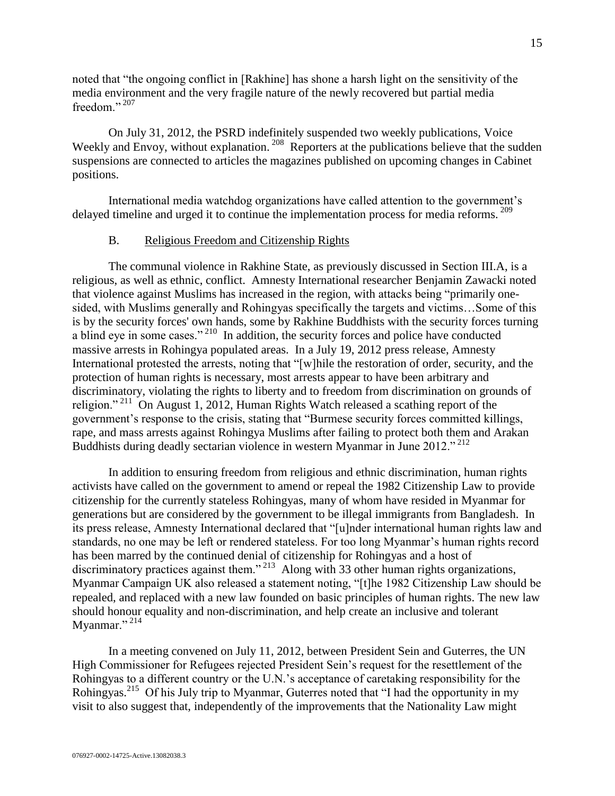noted that "the ongoing conflict in [Rakhine] has shone a harsh light on the sensitivity of the media environment and the very fragile nature of the newly recovered but partial media freedom<sup>"</sup>

On July 31, 2012, the PSRD indefinitely suspended two weekly publications, Voice Weekly and Envoy, without explanation.<sup>208</sup> Reporters at the publications believe that the sudden suspensions are connected to articles the magazines published on upcoming changes in Cabinet positions.

International media watchdog organizations have called attention to the government's delayed timeline and urged it to continue the implementation process for media reforms. <sup>209</sup>

## B. Religious Freedom and Citizenship Rights

<span id="page-14-0"></span>The communal violence in Rakhine State, as previously discussed in Section III.A, is a religious, as well as ethnic, conflict. Amnesty International researcher Benjamin Zawacki noted that violence against Muslims has increased in the region, with attacks being "primarily onesided, with Muslims generally and Rohingyas specifically the targets and victims…Some of this is by the security forces' own hands, some by Rakhine Buddhists with the security forces turning a blind eye in some cases."<sup>210</sup> In addition, the security forces and police have conducted massive arrests in Rohingya populated areas. In a July 19, 2012 press release, Amnesty International protested the arrests, noting that "[w]hile the restoration of order, security, and the protection of human rights is necessary, most arrests appear to have been arbitrary and discriminatory, violating the rights to liberty and to freedom from discrimination on grounds of religion."<sup>211</sup> On August 1, 2012, Human Rights Watch released a scathing report of the government's response to the crisis, stating that "Burmese security forces committed killings, rape, and mass arrests against Rohingya Muslims after failing to protect both them and Arakan Buddhists during deadly sectarian violence in western Myanmar in June 2012." <sup>212</sup>

In addition to ensuring freedom from religious and ethnic discrimination, human rights activists have called on the government to amend or repeal the 1982 Citizenship Law to provide citizenship for the currently stateless Rohingyas, many of whom have resided in Myanmar for generations but are considered by the government to be illegal immigrants from Bangladesh. In its press release, Amnesty International declared that "[u]nder international human rights law and standards, no one may be left or rendered stateless. For too long Myanmar's human rights record has been marred by the continued denial of citizenship for Rohingyas and a host of discriminatory practices against them."<sup>213</sup> Along with 33 other human rights organizations, Myanmar Campaign UK also released a statement noting, "[t]he 1982 Citizenship Law should be repealed, and replaced with a new law founded on basic principles of human rights. The new law should honour equality and non-discrimination, and help create an inclusive and tolerant Myanmar."<sup>214</sup>

In a meeting convened on July 11, 2012, between President Sein and Guterres, the UN High Commissioner for Refugees rejected President Sein's request for the resettlement of the Rohingyas to a different country or the U.N.'s acceptance of caretaking responsibility for the Rohingyas.<sup>215</sup> Of his July trip to Myanmar, Guterres noted that "I had the opportunity in my visit to also suggest that, independently of the improvements that the Nationality Law might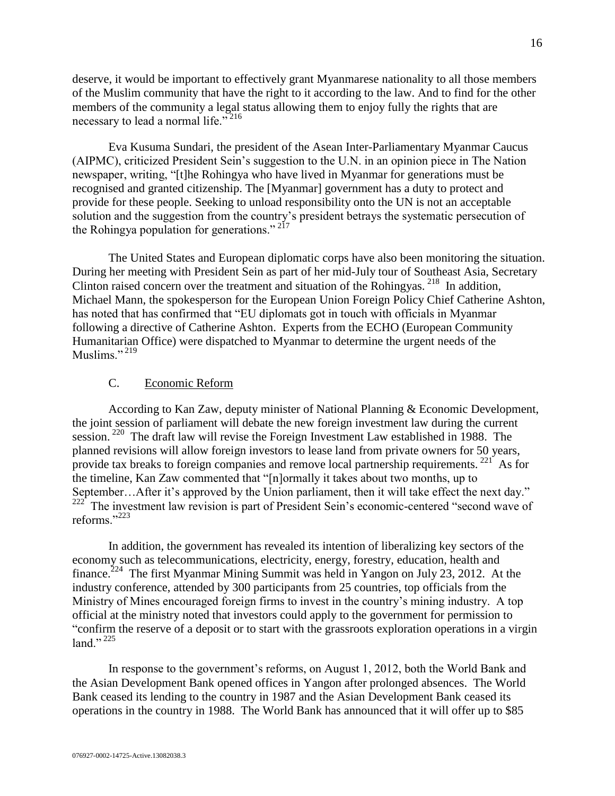deserve, it would be important to effectively grant Myanmarese nationality to all those members of the Muslim community that have the right to it according to the law. And to find for the other members of the community a legal status allowing them to enjoy fully the rights that are necessary to lead a normal life."<sup>216</sup>

Eva Kusuma Sundari, the president of the Asean Inter-Parliamentary Myanmar Caucus (AIPMC), criticized President Sein's suggestion to the U.N. in an opinion piece in The Nation newspaper, writing, "[t]he Rohingya who have lived in Myanmar for generations must be recognised and granted citizenship. The [Myanmar] government has a duty to protect and provide for these people. Seeking to unload responsibility onto the UN is not an acceptable solution and the suggestion from the country's president betrays the systematic persecution of the Rohingya population for generations."<sup>217</sup>

The United States and European diplomatic corps have also been monitoring the situation. During her meeting with President Sein as part of her mid-July tour of Southeast Asia, Secretary Clinton raised concern over the treatment and situation of the Rohingyas.<sup>218</sup> In addition, Michael Mann, the spokesperson for the European Union Foreign Policy Chief Catherine Ashton, has noted that has confirmed that "EU diplomats got in touch with officials in Myanmar following a directive of Catherine Ashton. Experts from the ECHO (European Community Humanitarian Office) were dispatched to Myanmar to determine the urgent needs of the Muslims."<sup>219</sup>

### C. Economic Reform

<span id="page-15-0"></span>According to Kan Zaw, deputy minister of National Planning & Economic Development, the joint session of parliament will debate the new foreign investment law during the current session.<sup>220</sup> The draft law will revise the Foreign Investment Law established in 1988. The planned revisions will allow foreign investors to lease land from private owners for 50 years, provide tax breaks to foreign companies and remove local partnership requirements.<sup>221</sup> As for the timeline, Kan Zaw commented that "[n]ormally it takes about two months, up to September...After it's approved by the Union parliament, then it will take effect the next day."<br><sup>222</sup> The investment law ravision is next of President Sain's economic centered "second wave of The investment law revision is part of President Sein's economic-centered "second wave of reforms."<sup>223</sup>

In addition, the government has revealed its intention of liberalizing key sectors of the economy such as telecommunications, electricity, energy, forestry, education, health and finance.<sup>224</sup> The first Myanmar Mining Summit was held in Yangon on July 23, 2012. At the industry conference, attended by 300 participants from 25 countries, top officials from the Ministry of Mines encouraged foreign firms to invest in the country's mining industry. A top official at the ministry noted that investors could apply to the government for permission to "confirm the reserve of a deposit or to start with the grassroots exploration operations in a virgin land." $^{225}$ 

In response to the government's reforms, on August 1, 2012, both the World Bank and the Asian Development Bank opened offices in Yangon after prolonged absences. The World Bank ceased its lending to the country in 1987 and the Asian Development Bank ceased its operations in the country in 1988. The World Bank has announced that it will offer up to \$85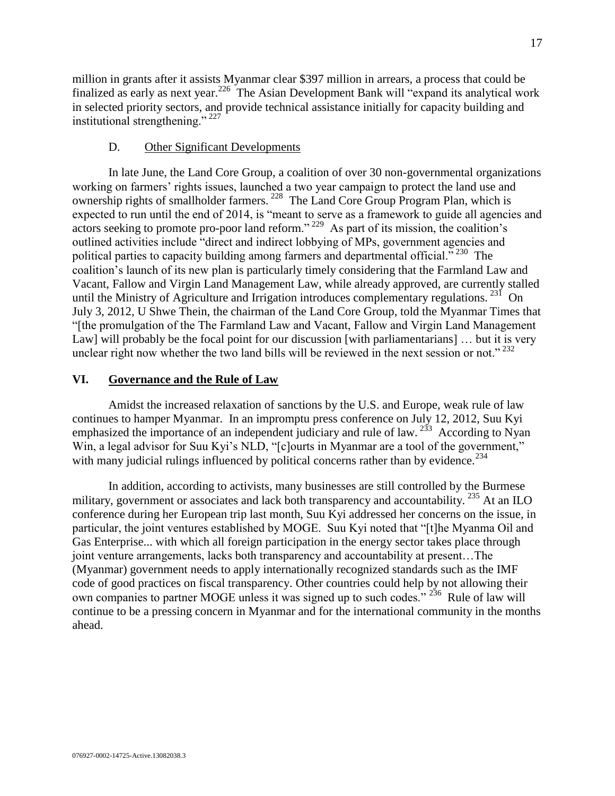million in grants after it assists Myanmar clear \$397 million in arrears, a process that could be finalized as early as next year.<sup>226</sup> The Asian Development Bank will "expand its analytical work in selected priority sectors, and provide technical assistance initially for capacity building and institutional strengthening." <sup>227</sup>

## D. Other Significant Developments

<span id="page-16-0"></span>In late June, the Land Core Group, a coalition of over 30 non-governmental organizations working on farmers' rights issues, launched a two year campaign to protect the land use and ownership rights of smallholder farmers.<sup>228</sup> The Land Core Group Program Plan, which is expected to run until the end of 2014, is "meant to serve as a framework to guide all agencies and actors seeking to promote pro-poor land reform."<sup>229</sup> As part of its mission, the coalition's outlined activities include "direct and indirect lobbying of MPs, government agencies and political parties to capacity building among farmers and departmental official."<sup>230</sup> The coalition's launch of its new plan is particularly timely considering that the Farmland Law and Vacant, Fallow and Virgin Land Management Law, while already approved, are currently stalled until the Ministry of Agriculture and Irrigation introduces complementary regulations.  $^{231}$  On July 3, 2012, U Shwe Thein, the chairman of the Land Core Group, told the Myanmar Times that "[the promulgation of the The Farmland Law and Vacant, Fallow and Virgin Land Management Law] will probably be the focal point for our discussion [with parliamentarians] ... but it is very unclear right now whether the two land bills will be reviewed in the next session or not."  $^{232}$ 

## <span id="page-16-1"></span>**VI. Governance and the Rule of Law**

Amidst the increased relaxation of sanctions by the U.S. and Europe, weak rule of law continues to hamper Myanmar. In an impromptu press conference on July 12, 2012, Suu Kyi emphasized the importance of an independent judiciary and rule of law.  $^{233}$  According to Nyan Win, a legal advisor for Suu Kyi's NLD, "[c]ourts in Myanmar are a tool of the government," with many judicial rulings influenced by political concerns rather than by evidence.<sup>234</sup>

In addition, according to activists, many businesses are still controlled by the Burmese military, government or associates and lack both transparency and accountability. <sup>235</sup> At an ILO conference during her European trip last month, Suu Kyi addressed her concerns on the issue, in particular, the joint ventures established by MOGE. Suu Kyi noted that "[t]he Myanma Oil and Gas Enterprise... with which all foreign participation in the energy sector takes place through joint venture arrangements, lacks both transparency and accountability at present…The (Myanmar) government needs to apply internationally recognized standards such as the IMF code of good practices on fiscal transparency. Other countries could help by not allowing their own companies to partner MOGE unless it was signed up to such codes." <sup>236</sup> Rule of law will continue to be a pressing concern in Myanmar and for the international community in the months ahead.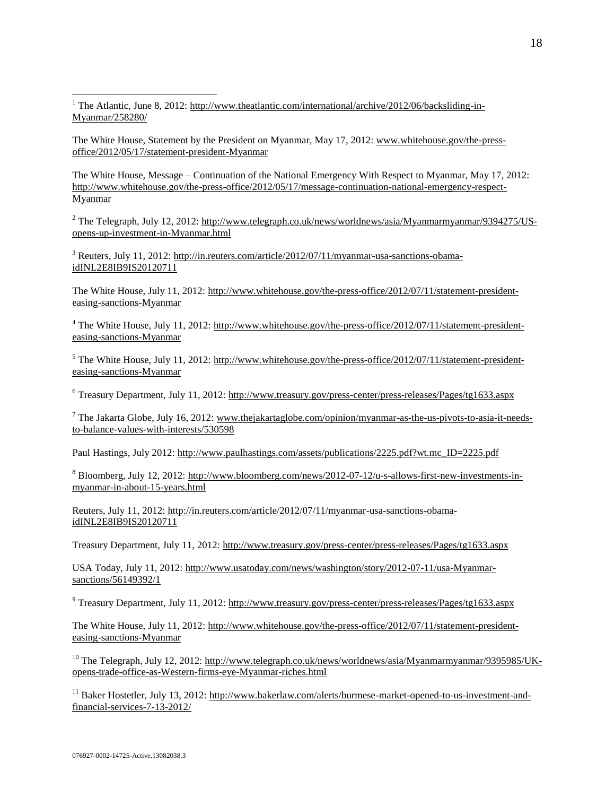<sup>1</sup> The Atlantic, June 8, 2012: http://ww<u>w.theatlantic.com/international/archive/2012/06/backsliding-in-</u> [Myanmar/258280/](http://www.theatlantic.com/international/archive/2012/06/backsliding-in-burma/258280/)

The White House, Statement by the President on Myanmar, May 17, 2012[: www.whitehouse.gov/the-press](http://www.whitehouse.gov/the-press-office/2012/05/17/statement-president-burma)[office/2012/05/17/statement-president-Myanmar](http://www.whitehouse.gov/the-press-office/2012/05/17/statement-president-burma) 

The White House, Message – Continuation of the National Emergency With Respect to Myanmar, May 17, 2012: [http://www.whitehouse.gov/the-press-office/2012/05/17/message-continuation-national-emergency-respect-](http://www.whitehouse.gov/the-press-office/2012/05/17/message-continuation-national-emergency-respect-burma)[Myanmar](http://www.whitehouse.gov/the-press-office/2012/05/17/message-continuation-national-emergency-respect-burma)

<sup>2</sup> The Telegraph, July 12, 2012: [http://www.telegraph.co.uk/news/worldnews/asia/Myanmarmyanmar/9394275/US](http://www.telegraph.co.uk/news/worldnews/asia/burmamyanmar/9394275/US-opens-up-investment-in-Burma.html)[opens-up-investment-in-Myanmar.html](http://www.telegraph.co.uk/news/worldnews/asia/burmamyanmar/9394275/US-opens-up-investment-in-Burma.html) 

<sup>3</sup> Reuters, July 11, 2012[: http://in.reuters.com/article/2012/07/11/myanmar-usa-sanctions-obama](http://in.reuters.com/article/2012/07/11/myanmar-usa-sanctions-obama-idINL2E8IB9IS20120711)[idINL2E8IB9IS20120711](http://in.reuters.com/article/2012/07/11/myanmar-usa-sanctions-obama-idINL2E8IB9IS20120711)

The White House, July 11, 2012: [http://www.whitehouse.gov/the-press-office/2012/07/11/statement-president](http://www.whitehouse.gov/the-press-office/2012/07/11/statement-president-easing-sanctions-burma)[easing-sanctions-Myanmar](http://www.whitehouse.gov/the-press-office/2012/07/11/statement-president-easing-sanctions-burma)

<sup>4</sup> The White House, July 11, 2012[: http://www.whitehouse.gov/the-press-office/2012/07/11/statement-president](http://www.whitehouse.gov/the-press-office/2012/07/11/statement-president-easing-sanctions-burma)[easing-sanctions-Myanmar](http://www.whitehouse.gov/the-press-office/2012/07/11/statement-president-easing-sanctions-burma)

<sup>5</sup> The White House, July 11, 2012[: http://www.whitehouse.gov/the-press-office/2012/07/11/statement-president](http://www.whitehouse.gov/the-press-office/2012/07/11/statement-president-easing-sanctions-burma)[easing-sanctions-Myanmar](http://www.whitehouse.gov/the-press-office/2012/07/11/statement-president-easing-sanctions-burma)

<sup>6</sup> Treasury Department, July 11, 2012:<http://www.treasury.gov/press-center/press-releases/Pages/tg1633.aspx>

 $^7$  The Jakarta Globe, July 16, 2012: [www.thejakartaglobe.com/opinion/myanmar-as-the-us-pivots-to-asia-it-needs](http://www.thejakartaglobe.com/opinion/myanmar-as-the-us-pivots-to-asia-it-needs-to-balance-values-with-interests/530598)[to-balance-values-with-interests/530598](http://www.thejakartaglobe.com/opinion/myanmar-as-the-us-pivots-to-asia-it-needs-to-balance-values-with-interests/530598)

Paul Hastings, July 2012[: http://www.paulhastings.com/assets/publications/2225.pdf?wt.mc\\_ID=2225.pdf](http://www.paulhastings.com/assets/publications/2225.pdf?wt.mc_ID=2225.pdf) 

<sup>8</sup> Bloomberg, July 12, 2012: [http://www.bloomberg.com/news/2012-07-12/u-s-allows-first-new-investments-in](http://www.bloomberg.com/news/2012-07-12/u-s-allows-first-new-investments-in-myanmar-in-about-15-years.html)[myanmar-in-about-15-years.html](http://www.bloomberg.com/news/2012-07-12/u-s-allows-first-new-investments-in-myanmar-in-about-15-years.html)

Reuters, July 11, 2012: [http://in.reuters.com/article/2012/07/11/myanmar-usa-sanctions-obama](http://in.reuters.com/article/2012/07/11/myanmar-usa-sanctions-obama-idINL2E8IB9IS20120711)[idINL2E8IB9IS20120711](http://in.reuters.com/article/2012/07/11/myanmar-usa-sanctions-obama-idINL2E8IB9IS20120711)

Treasury Department, July 11, 2012[: http://www.treasury.gov/press-center/press-releases/Pages/tg1633.aspx](http://www.treasury.gov/press-center/press-releases/Pages/tg1633.aspx)

USA Today, July 11, 2012[: http://www.usatoday.com/news/washington/story/2012-07-11/usa-Myanmar](http://www.usatoday.com/news/washington/story/2012-07-11/usa-burma-sanctions/56149392/1)[sanctions/56149392/1](http://www.usatoday.com/news/washington/story/2012-07-11/usa-burma-sanctions/56149392/1)

<sup>9</sup> Treasury Department, July 11, 2012:<http://www.treasury.gov/press-center/press-releases/Pages/tg1633.aspx>

The White House, July 11, 2012: [http://www.whitehouse.gov/the-press-office/2012/07/11/statement-president](http://www.whitehouse.gov/the-press-office/2012/07/11/statement-president-easing-sanctions-burma)[easing-sanctions-Myanmar](http://www.whitehouse.gov/the-press-office/2012/07/11/statement-president-easing-sanctions-burma)

<sup>10</sup> The Telegraph, July 12, 2012: [http://www.telegraph.co.uk/news/worldnews/asia/Myanmarmyanmar/9395985/UK](http://www.telegraph.co.uk/news/worldnews/asia/burmamyanmar/9395985/UK-opens-trade-office-as-Western-firms-eye-Burma-riches.html)[opens-trade-office-as-Western-firms-eye-Myanmar-riches.html](http://www.telegraph.co.uk/news/worldnews/asia/burmamyanmar/9395985/UK-opens-trade-office-as-Western-firms-eye-Burma-riches.html) 

<sup>11</sup> Baker Hostetler, July 13, 2012: [http://www.bakerlaw.com/alerts/burmese-market-opened-to-us-investment-and](http://www.bakerlaw.com/alerts/burmese-market-opened-to-us-investment-and-financial-services-7-13-2012/)[financial-services-7-13-2012/](http://www.bakerlaw.com/alerts/burmese-market-opened-to-us-investment-and-financial-services-7-13-2012/)

 $\overline{a}$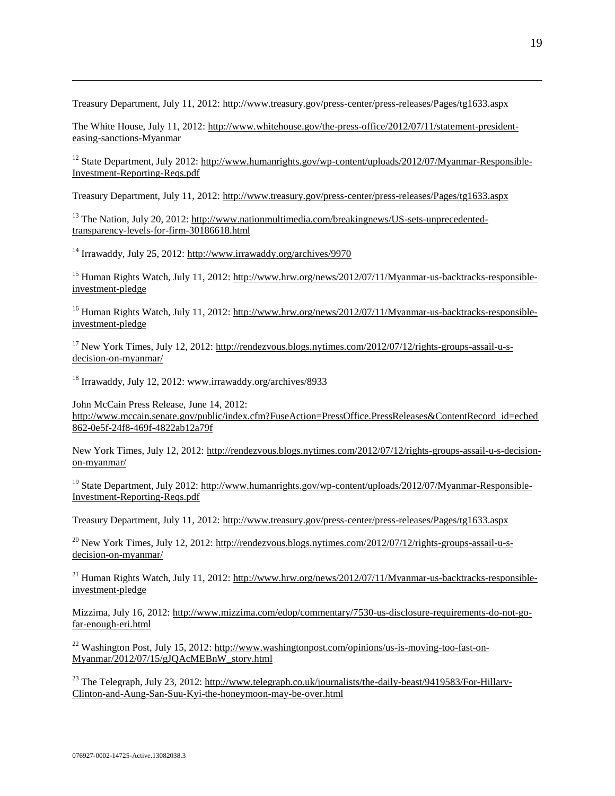Treasury Department, July 11, 2012[: http://www.treasury.gov/press-center/press-releases/Pages/tg1633.aspx](http://www.treasury.gov/press-center/press-releases/Pages/tg1633.aspx)

The White House, July 11, 2012: [http://www.whitehouse.gov/the-press-office/2012/07/11/statement-president](http://www.whitehouse.gov/the-press-office/2012/07/11/statement-president-easing-sanctions-burma)[easing-sanctions-Myanmar](http://www.whitehouse.gov/the-press-office/2012/07/11/statement-president-easing-sanctions-burma)

<sup>12</sup> State Department, July 2012: [http://www.humanrights.gov/wp-content/uploads/2012/07/Myanmar-Responsible-](http://www.humanrights.gov/wp-content/uploads/2012/07/Burma-Responsible-Investment-Reporting-Reqs.pdf)[Investment-Reporting-Reqs.pdf](http://www.humanrights.gov/wp-content/uploads/2012/07/Burma-Responsible-Investment-Reporting-Reqs.pdf)

Treasury Department, July 11, 2012[: http://www.treasury.gov/press-center/press-releases/Pages/tg1633.aspx](http://www.treasury.gov/press-center/press-releases/Pages/tg1633.aspx)

<sup>13</sup> The Nation, July 20, 2012[: http://www.nationmultimedia.com/breakingnews/US-sets-unprecedented](http://www.nationmultimedia.com/breakingnews/US-sets-unprecedented-transparency-levels-for-firm-30186618.html)[transparency-levels-for-firm-30186618.html](http://www.nationmultimedia.com/breakingnews/US-sets-unprecedented-transparency-levels-for-firm-30186618.html)

 $14$  Irrawaddy, July 25, 2012:<http://www.irrawaddy.org/archives/9970>

 $\overline{a}$ 

<sup>15</sup> Human Rights Watch, July 11, 2012: [http://www.hrw.org/news/2012/07/11/Myanmar-us-backtracks-responsible](http://www.hrw.org/news/2012/07/11/burma-us-backtracks-responsible-investment-pledge)[investment-pledge](http://www.hrw.org/news/2012/07/11/burma-us-backtracks-responsible-investment-pledge)

<sup>16</sup> Human Rights Watch, July 11, 2012: [http://www.hrw.org/news/2012/07/11/Myanmar-us-backtracks-responsible](http://www.hrw.org/news/2012/07/11/burma-us-backtracks-responsible-investment-pledge)[investment-pledge](http://www.hrw.org/news/2012/07/11/burma-us-backtracks-responsible-investment-pledge)

<sup>17</sup> New York Times, July 12, 2012: [http://rendezvous.blogs.nytimes.com/2012/07/12/rights-groups-assail-u-s](http://rendezvous.blogs.nytimes.com/2012/07/12/rights-groups-assail-u-s-decision-on-myanmar/)[decision-on-myanmar/](http://rendezvous.blogs.nytimes.com/2012/07/12/rights-groups-assail-u-s-decision-on-myanmar/)

<sup>18</sup> Irrawaddy, July 12, 2012: www.irrawaddy.org/archives/8933

John McCain Press Release, June 14, 2012: [http://www.mccain.senate.gov/public/index.cfm?FuseAction=PressOffice.PressReleases&ContentRecord\\_id=ecbed](http://www.mccain.senate.gov/public/index.cfm?FuseAction=PressOffice.PressReleases&ContentRecord_id=ecbed862-0e5f-24f8-469f-4822ab12a79f) [862-0e5f-24f8-469f-4822ab12a79f](http://www.mccain.senate.gov/public/index.cfm?FuseAction=PressOffice.PressReleases&ContentRecord_id=ecbed862-0e5f-24f8-469f-4822ab12a79f)

New York Times, July 12, 2012: [http://rendezvous.blogs.nytimes.com/2012/07/12/rights-groups-assail-u-s-decision](http://rendezvous.blogs.nytimes.com/2012/07/12/rights-groups-assail-u-s-decision-on-myanmar/)[on-myanmar/](http://rendezvous.blogs.nytimes.com/2012/07/12/rights-groups-assail-u-s-decision-on-myanmar/)

<sup>19</sup> State Department, July 2012: [http://www.humanrights.gov/wp-content/uploads/2012/07/Myanmar-Responsible-](http://www.humanrights.gov/wp-content/uploads/2012/07/Burma-Responsible-Investment-Reporting-Reqs.pdf)[Investment-Reporting-Reqs.pdf](http://www.humanrights.gov/wp-content/uploads/2012/07/Burma-Responsible-Investment-Reporting-Reqs.pdf)

Treasury Department, July 11, 2012[: http://www.treasury.gov/press-center/press-releases/Pages/tg1633.aspx](http://www.treasury.gov/press-center/press-releases/Pages/tg1633.aspx)

 $^{20}$  New York Times, July 12, 2012: [http://rendezvous.blogs.nytimes.com/2012/07/12/rights-groups-assail-u-s](http://rendezvous.blogs.nytimes.com/2012/07/12/rights-groups-assail-u-s-decision-on-myanmar/)[decision-on-myanmar/](http://rendezvous.blogs.nytimes.com/2012/07/12/rights-groups-assail-u-s-decision-on-myanmar/)

<sup>21</sup> Human Rights Watch, July 11, 2012: [http://www.hrw.org/news/2012/07/11/Myanmar-us-backtracks-responsible](http://www.hrw.org/news/2012/07/11/burma-us-backtracks-responsible-investment-pledge)[investment-pledge](http://www.hrw.org/news/2012/07/11/burma-us-backtracks-responsible-investment-pledge)

Mizzima, July 16, 2012: [http://www.mizzima.com/edop/commentary/7530-us-disclosure-requirements-do-not-go](http://www.mizzima.com/edop/commentary/7530-us-disclosure-requirements-do-not-go-far-enough-eri.html)[far-enough-eri.html](http://www.mizzima.com/edop/commentary/7530-us-disclosure-requirements-do-not-go-far-enough-eri.html) 

<sup>22</sup> Washington Post, July 15, 2012: [http://www.washingtonpost.com/opinions/us-is-moving-too-fast-on-](http://www.washingtonpost.com/opinions/us-is-moving-too-fast-on-burma/2012/07/15/gJQAcMEBnW_story.html)[Myanmar/2012/07/15/gJQAcMEBnW\\_story.html](http://www.washingtonpost.com/opinions/us-is-moving-too-fast-on-burma/2012/07/15/gJQAcMEBnW_story.html)

<sup>23</sup> The Telegraph, July 23, 2012: [http://www.telegraph.co.uk/journalists/the-daily-beast/9419583/For-Hillary-](http://www.telegraph.co.uk/journalists/the-daily-beast/9419583/For-Hillary-Clinton-and-Aung-San-Suu-Kyi-the-honeymoon-may-be-over.html)[Clinton-and-Aung-San-Suu-Kyi-the-honeymoon-may-be-over.html](http://www.telegraph.co.uk/journalists/the-daily-beast/9419583/For-Hillary-Clinton-and-Aung-San-Suu-Kyi-the-honeymoon-may-be-over.html)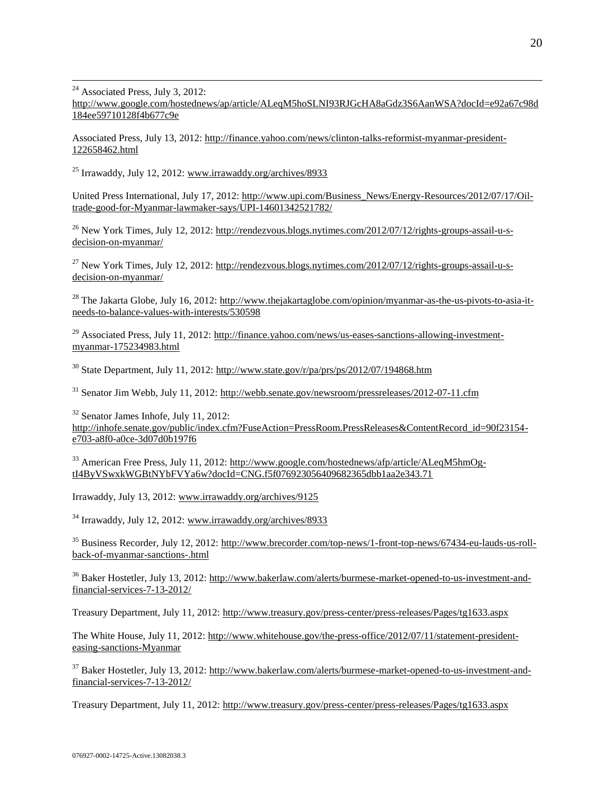$24$  Associated Press, July 3, 2012:

 $\overline{a}$ 

[http://www.google.com/hostednews/ap/article/ALeqM5hoSLNI93RJGcHA8aGdz3S6AanWSA?docId=e92a67c98d](http://www.google.com/hostednews/ap/article/ALeqM5hoSLNI93RJGcHA8aGdz3S6AanWSA?docId=e92a67c98d184ee59710128f4b677c9e) [184ee59710128f4b677c9e](http://www.google.com/hostednews/ap/article/ALeqM5hoSLNI93RJGcHA8aGdz3S6AanWSA?docId=e92a67c98d184ee59710128f4b677c9e)

Associated Press, July 13, 2012: [http://finance.yahoo.com/news/clinton-talks-reformist-myanmar-president-](http://finance.yahoo.com/news/clinton-talks-reformist-myanmar-president-122658462.html)[122658462.html](http://finance.yahoo.com/news/clinton-talks-reformist-myanmar-president-122658462.html)

<sup>25</sup> Irrawaddy, July 12, 2012: [www.irrawaddy.org/archives/8933](http://www.irrawaddy.org/archives/8933)

United Press International, July 17, 2012: [http://www.upi.com/Business\\_News/Energy-Resources/2012/07/17/Oil](http://www.upi.com/Business_News/Energy-Resources/2012/07/17/Oil-trade-good-for-Myanmar-lawmaker-says/UPI-14601342521782/)[trade-good-for-Myanmar-lawmaker-says/UPI-14601342521782/](http://www.upi.com/Business_News/Energy-Resources/2012/07/17/Oil-trade-good-for-Myanmar-lawmaker-says/UPI-14601342521782/)

<sup>26</sup> New York Times, July 12, 2012: [http://rendezvous.blogs.nytimes.com/2012/07/12/rights-groups-assail-u-s](http://rendezvous.blogs.nytimes.com/2012/07/12/rights-groups-assail-u-s-decision-on-myanmar/)[decision-on-myanmar/](http://rendezvous.blogs.nytimes.com/2012/07/12/rights-groups-assail-u-s-decision-on-myanmar/)

<sup>27</sup> New York Times, July 12, 2012: [http://rendezvous.blogs.nytimes.com/2012/07/12/rights-groups-assail-u-s](http://rendezvous.blogs.nytimes.com/2012/07/12/rights-groups-assail-u-s-decision-on-myanmar/)[decision-on-myanmar/](http://rendezvous.blogs.nytimes.com/2012/07/12/rights-groups-assail-u-s-decision-on-myanmar/)

<sup>28</sup> The Jakarta Globe, July 16, 2012[: http://www.thejakartaglobe.com/opinion/myanmar-as-the-us-pivots-to-asia-it](http://www.thejakartaglobe.com/opinion/myanmar-as-the-us-pivots-to-asia-it-needs-to-balance-values-with-interests/530598)[needs-to-balance-values-with-interests/530598](http://www.thejakartaglobe.com/opinion/myanmar-as-the-us-pivots-to-asia-it-needs-to-balance-values-with-interests/530598)

<sup>29</sup> Associated Press, July 11, 2012: [http://finance.yahoo.com/news/us-eases-sanctions-allowing-investment](http://finance.yahoo.com/news/us-eases-sanctions-allowing-investment-myanmar-175234983.html)[myanmar-175234983.html](http://finance.yahoo.com/news/us-eases-sanctions-allowing-investment-myanmar-175234983.html)

 $30$  State Department, July 11, 2012:<http://www.state.gov/r/pa/prs/ps/2012/07/194868.htm>

<sup>31</sup> Senator Jim Webb, July 11, 2012:<http://webb.senate.gov/newsroom/pressreleases/2012-07-11.cfm>

 $32$  Senator James Inhofe, July 11, 2012: [http://inhofe.senate.gov/public/index.cfm?FuseAction=PressRoom.PressReleases&ContentRecord\\_id=90f23154](http://inhofe.senate.gov/public/index.cfm?FuseAction=PressRoom.PressReleases&ContentRecord_id=90f23154-e703-a8f0-a0ce-3d07d0b197f6) [e703-a8f0-a0ce-3d07d0b197f6](http://inhofe.senate.gov/public/index.cfm?FuseAction=PressRoom.PressReleases&ContentRecord_id=90f23154-e703-a8f0-a0ce-3d07d0b197f6)

<sup>33</sup> American Free Press, July 11, 2012[: http://www.google.com/hostednews/afp/article/ALeqM5hmOg](http://www.google.com/hostednews/afp/article/ALeqM5hmOg-tI4ByVSwxkWGBtNYbFVYa6w?docId=CNG.f5f076923056409682365dbb1aa2e343.71)[tI4ByVSwxkWGBtNYbFVYa6w?docId=CNG.f5f076923056409682365dbb1aa2e343.71](http://www.google.com/hostednews/afp/article/ALeqM5hmOg-tI4ByVSwxkWGBtNYbFVYa6w?docId=CNG.f5f076923056409682365dbb1aa2e343.71) 

Irrawaddy, July 13, 2012[: www.irrawaddy.org/archives/9125](http://www.irrawaddy.org/archives/9125)

<sup>34</sup> Irrawaddy, July 12, 2012: [www.irrawaddy.org/archives/8933](http://www.irrawaddy.org/archives/8933)

<sup>35</sup> Business Recorder, July 12, 2012: [http://www.brecorder.com/top-news/1-front-top-news/67434-eu-lauds-us-roll](http://www.brecorder.com/top-news/1-front-top-news/67434-eu-lauds-us-roll-back-of-myanmar-sanctions-.html)[back-of-myanmar-sanctions-.html](http://www.brecorder.com/top-news/1-front-top-news/67434-eu-lauds-us-roll-back-of-myanmar-sanctions-.html)

<sup>36</sup> Baker Hostetler, July 13, 2012: [http://www.bakerlaw.com/alerts/burmese-market-opened-to-us-investment-and](http://www.bakerlaw.com/alerts/burmese-market-opened-to-us-investment-and-financial-services-7-13-2012/)[financial-services-7-13-2012/](http://www.bakerlaw.com/alerts/burmese-market-opened-to-us-investment-and-financial-services-7-13-2012/)

Treasury Department, July 11, 2012[: http://www.treasury.gov/press-center/press-releases/Pages/tg1633.aspx](http://www.treasury.gov/press-center/press-releases/Pages/tg1633.aspx)

The White House, July 11, 2012: [http://www.whitehouse.gov/the-press-office/2012/07/11/statement-president](http://www.whitehouse.gov/the-press-office/2012/07/11/statement-president-easing-sanctions-burma)[easing-sanctions-Myanmar](http://www.whitehouse.gov/the-press-office/2012/07/11/statement-president-easing-sanctions-burma) 

<sup>37</sup> Baker Hostetler, July 13, 2012: [http://www.bakerlaw.com/alerts/burmese-market-opened-to-us-investment-and](http://www.bakerlaw.com/alerts/burmese-market-opened-to-us-investment-and-financial-services-7-13-2012/)[financial-services-7-13-2012/](http://www.bakerlaw.com/alerts/burmese-market-opened-to-us-investment-and-financial-services-7-13-2012/)

Treasury Department, July 11, 2012[: http://www.treasury.gov/press-center/press-releases/Pages/tg1633.aspx](http://www.treasury.gov/press-center/press-releases/Pages/tg1633.aspx)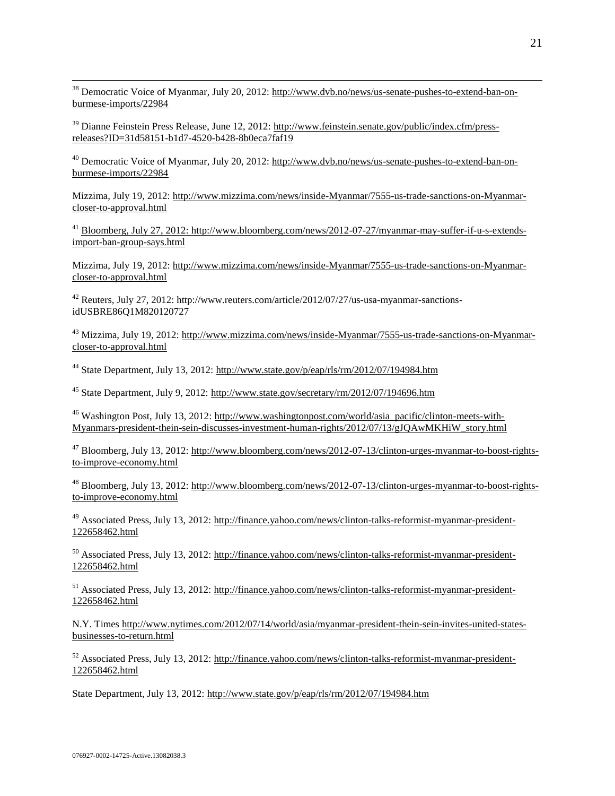<sup>38</sup> Democratic Voice of Myanmar, July 20, 2012[: http://www.dvb.no/news/us-senate-pushes-to-extend-ban-on](http://www.dvb.no/news/us-senate-pushes-to-extend-ban-on-burmese-imports/22984)[burmese-imports/22984](http://www.dvb.no/news/us-senate-pushes-to-extend-ban-on-burmese-imports/22984)

 $39$  Dianne Feinstein Press Release, June 12, 2012: [http://www.feinstein.senate.gov/public/index.cfm/press](http://www.feinstein.senate.gov/public/index.cfm/press-releases?ID=31d58151-b1d7-4520-b428-8b0eca7faf19)[releases?ID=31d58151-b1d7-4520-b428-8b0eca7faf19](http://www.feinstein.senate.gov/public/index.cfm/press-releases?ID=31d58151-b1d7-4520-b428-8b0eca7faf19)

<sup>40</sup> Democratic Voice of Myanmar, July 20, 2012[: http://www.dvb.no/news/us-senate-pushes-to-extend-ban-on](http://www.dvb.no/news/us-senate-pushes-to-extend-ban-on-burmese-imports/22984)[burmese-imports/22984](http://www.dvb.no/news/us-senate-pushes-to-extend-ban-on-burmese-imports/22984)

Mizzima, July 19, 2012: [http://www.mizzima.com/news/inside-Myanmar/7555-us-trade-sanctions-on-Myanmar](http://www.mizzima.com/news/inside-burma/7555-us-trade-sanctions-on-burma-closer-to-approval.html)[closer-to-approval.html](http://www.mizzima.com/news/inside-burma/7555-us-trade-sanctions-on-burma-closer-to-approval.html)

<sup>41</sup> Bloomberg, July 27, 2012: [http://www.bloomberg.com/news/2012-07-27/myanmar-may-suffer-if-u-s-extends](http://www.bloomberg.com/news/2012-07-27/myanmar-may-suffer-if-u-s-extends-import-ban-group-says.html)[import-ban-group-says.html](http://www.bloomberg.com/news/2012-07-27/myanmar-may-suffer-if-u-s-extends-import-ban-group-says.html)

Mizzima, July 19, 2012: [http://www.mizzima.com/news/inside-Myanmar/7555-us-trade-sanctions-on-Myanmar](http://www.mizzima.com/news/inside-burma/7555-us-trade-sanctions-on-burma-closer-to-approval.html)[closer-to-approval.html](http://www.mizzima.com/news/inside-burma/7555-us-trade-sanctions-on-burma-closer-to-approval.html)

<sup>42</sup> Reuters, July 27, 2012: http://www.reuters.com/article/2012/07/27/us-usa-myanmar-sanctionsidUSBRE86Q1M820120727

<sup>43</sup> Mizzima, July 19, 2012: [http://www.mizzima.com/news/inside-Myanmar/7555-us-trade-sanctions-on-Myanmar](http://www.mizzima.com/news/inside-burma/7555-us-trade-sanctions-on-burma-closer-to-approval.html)[closer-to-approval.html](http://www.mizzima.com/news/inside-burma/7555-us-trade-sanctions-on-burma-closer-to-approval.html)

<sup>44</sup> State Department, July 13, 2012:<http://www.state.gov/p/eap/rls/rm/2012/07/194984.htm>

<sup>45</sup> State Department, July 9, 2012:<http://www.state.gov/secretary/rm/2012/07/194696.htm>

<sup>46</sup> Washington Post, July 13, 2012: [http://www.washingtonpost.com/world/asia\\_pacific/clinton-meets-with-](http://www.washingtonpost.com/world/asia_pacific/clinton-meets-with-burmas-president-thein-sein-discusses-investment-human-rights/2012/07/13/gJQAwMKHiW_story.html)[Myanmars-president-thein-sein-discusses-investment-human-rights/2012/07/13/gJQAwMKHiW\\_story.html](http://www.washingtonpost.com/world/asia_pacific/clinton-meets-with-burmas-president-thein-sein-discusses-investment-human-rights/2012/07/13/gJQAwMKHiW_story.html) 

<sup>47</sup> Bloomberg, July 13, 2012: [http://www.bloomberg.com/news/2012-07-13/clinton-urges-myanmar-to-boost-rights](http://www.bloomberg.com/news/2012-07-13/clinton-urges-myanmar-to-boost-rights-to-improve-economy.html)[to-improve-economy.html](http://www.bloomberg.com/news/2012-07-13/clinton-urges-myanmar-to-boost-rights-to-improve-economy.html)

<sup>48</sup> Bloomberg, July 13, 2012: [http://www.bloomberg.com/news/2012-07-13/clinton-urges-myanmar-to-boost-rights](http://www.bloomberg.com/news/2012-07-13/clinton-urges-myanmar-to-boost-rights-to-improve-economy.html)[to-improve-economy.html](http://www.bloomberg.com/news/2012-07-13/clinton-urges-myanmar-to-boost-rights-to-improve-economy.html) 

<sup>49</sup> Associated Press, July 13, 2012: [http://finance.yahoo.com/news/clinton-talks-reformist-myanmar-president-](http://finance.yahoo.com/news/clinton-talks-reformist-myanmar-president-122658462.html)[122658462.html](http://finance.yahoo.com/news/clinton-talks-reformist-myanmar-president-122658462.html)

<sup>50</sup> Associated Press, July 13, 2012: [http://finance.yahoo.com/news/clinton-talks-reformist-myanmar-president-](http://finance.yahoo.com/news/clinton-talks-reformist-myanmar-president-122658462.html)[122658462.html](http://finance.yahoo.com/news/clinton-talks-reformist-myanmar-president-122658462.html)

<sup>51</sup> Associated Press, July 13, 2012: [http://finance.yahoo.com/news/clinton-talks-reformist-myanmar-president-](http://finance.yahoo.com/news/clinton-talks-reformist-myanmar-president-122658462.html)[122658462.html](http://finance.yahoo.com/news/clinton-talks-reformist-myanmar-president-122658462.html)

N.Y. Times [http://www.nytimes.com/2012/07/14/world/asia/myanmar-president-thein-sein-invites-united-states](http://www.nytimes.com/2012/07/14/world/asia/myanmar-president-thein-sein-invites-united-states-businesses-to-return.html)[businesses-to-return.html](http://www.nytimes.com/2012/07/14/world/asia/myanmar-president-thein-sein-invites-united-states-businesses-to-return.html)

 $52$  Associated Press, July 13, 2012: [http://finance.yahoo.com/news/clinton-talks-reformist-myanmar-president-](http://finance.yahoo.com/news/clinton-talks-reformist-myanmar-president-122658462.html)[122658462.html](http://finance.yahoo.com/news/clinton-talks-reformist-myanmar-president-122658462.html)

State Department, July 13, 2012:<http://www.state.gov/p/eap/rls/rm/2012/07/194984.htm>

 $\overline{a}$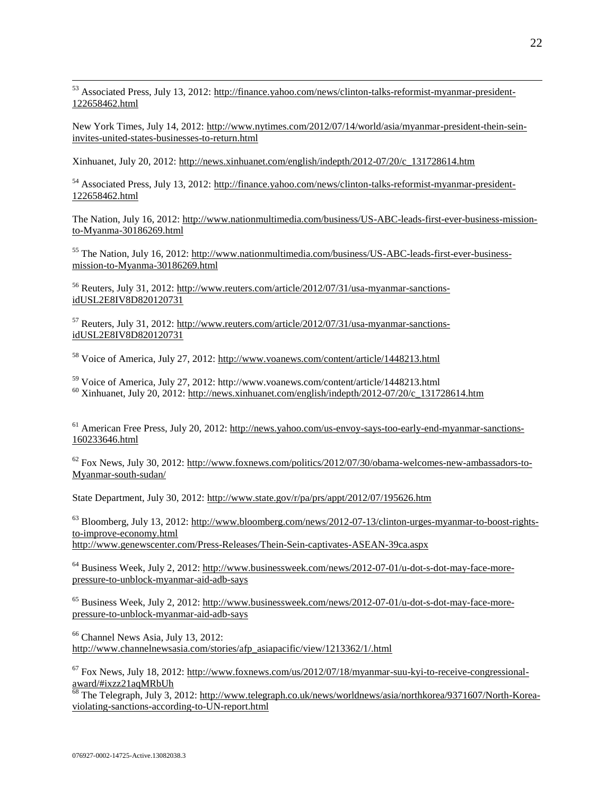<sup>53</sup> Associated Press, July 13, 2012: [http://finance.yahoo.com/news/clinton-talks-reformist-myanmar-president-](http://finance.yahoo.com/news/clinton-talks-reformist-myanmar-president-122658462.html)[122658462.html](http://finance.yahoo.com/news/clinton-talks-reformist-myanmar-president-122658462.html)

New York Times, July 14, 2012: [http://www.nytimes.com/2012/07/14/world/asia/myanmar-president-thein-sein](http://www.nytimes.com/2012/07/14/world/asia/myanmar-president-thein-sein-invites-united-states-businesses-to-return.html)[invites-united-states-businesses-to-return.html](http://www.nytimes.com/2012/07/14/world/asia/myanmar-president-thein-sein-invites-united-states-businesses-to-return.html)

Xinhuanet, July 20, 2012: [http://news.xinhuanet.com/english/indepth/2012-07/20/c\\_131728614.htm](http://news.xinhuanet.com/english/indepth/2012-07/20/c_131728614.htm)

<sup>54</sup> Associated Press, July 13, 2012: [http://finance.yahoo.com/news/clinton-talks-reformist-myanmar-president-](http://finance.yahoo.com/news/clinton-talks-reformist-myanmar-president-122658462.html)[122658462.html](http://finance.yahoo.com/news/clinton-talks-reformist-myanmar-president-122658462.html)

The Nation, July 16, 2012[: http://www.nationmultimedia.com/business/US-ABC-leads-first-ever-business-mission](http://www.nationmultimedia.com/business/US-ABC-leads-first-ever-business-mission-to-Myanma-30186269.html)[to-Myanma-30186269.html](http://www.nationmultimedia.com/business/US-ABC-leads-first-ever-business-mission-to-Myanma-30186269.html)

<sup>55</sup> The Nation, July 16, 2012[: http://www.nationmultimedia.com/business/US-ABC-leads-first-ever-business](http://www.nationmultimedia.com/business/US-ABC-leads-first-ever-business-mission-to-Myanma-30186269.html)[mission-to-Myanma-30186269.html](http://www.nationmultimedia.com/business/US-ABC-leads-first-ever-business-mission-to-Myanma-30186269.html)

<sup>56</sup> Reuters, July 31, 2012: [http://www.reuters.com/article/2012/07/31/usa-myanmar-sanctions](http://www.reuters.com/article/2012/07/31/usa-myanmar-sanctions-idUSL2E8IV8D820120731)[idUSL2E8IV8D820120731](http://www.reuters.com/article/2012/07/31/usa-myanmar-sanctions-idUSL2E8IV8D820120731)

 $57$  Reuters, July 31, 2012: [http://www.reuters.com/article/2012/07/31/usa-myanmar-sanctions](http://www.reuters.com/article/2012/07/31/usa-myanmar-sanctions-idUSL2E8IV8D820120731)[idUSL2E8IV8D820120731](http://www.reuters.com/article/2012/07/31/usa-myanmar-sanctions-idUSL2E8IV8D820120731)

<sup>58</sup> Voice of America, July 27, 2012:<http://www.voanews.com/content/article/1448213.html>

<sup>59</sup> Voice of America, July 27, 2012: http://www.voanews.com/content/article/1448213.html  $^{60}$  Xinhuanet, July 20, 2012: [http://news.xinhuanet.com/english/indepth/2012-07/20/c\\_131728614.htm](http://news.xinhuanet.com/english/indepth/2012-07/20/c_131728614.htm)

<sup>61</sup> American Free Press, July 20, 2012[: http://news.yahoo.com/us-envoy-says-too-early-end-myanmar-sanctions-](http://news.yahoo.com/us-envoy-says-too-early-end-myanmar-sanctions-160233646.html)[160233646.html](http://news.yahoo.com/us-envoy-says-too-early-end-myanmar-sanctions-160233646.html)

 $62$  Fox News, July 30, 2012: [http://www.foxnews.com/politics/2012/07/30/obama-welcomes-new-ambassadors-to-](http://www.foxnews.com/politics/2012/07/30/obama-welcomes-new-ambassadors-to-burma-south-sudan/)[Myanmar-south-sudan/](http://www.foxnews.com/politics/2012/07/30/obama-welcomes-new-ambassadors-to-burma-south-sudan/)

State Department, July 30, 2012:<http://www.state.gov/r/pa/prs/appt/2012/07/195626.htm>

<sup>63</sup> Bloomberg, July 13, 2012: [http://www.bloomberg.com/news/2012-07-13/clinton-urges-myanmar-to-boost-rights](http://www.bloomberg.com/news/2012-07-13/clinton-urges-myanmar-to-boost-rights-to-improve-economy.html)[to-improve-economy.html](http://www.bloomberg.com/news/2012-07-13/clinton-urges-myanmar-to-boost-rights-to-improve-economy.html) <http://www.genewscenter.com/Press-Releases/Thein-Sein-captivates-ASEAN-39ca.aspx>

<sup>64</sup> Business Week, July 2, 2012: [http://www.businessweek.com/news/2012-07-01/u-dot-s-dot-may-face-more](http://www.businessweek.com/news/2012-07-01/u-dot-s-dot-may-face-more-pressure-to-unblock-myanmar-aid-adb-says)[pressure-to-unblock-myanmar-aid-adb-says](http://www.businessweek.com/news/2012-07-01/u-dot-s-dot-may-face-more-pressure-to-unblock-myanmar-aid-adb-says)

<sup>65</sup> Business Week, July 2, 2012: [http://www.businessweek.com/news/2012-07-01/u-dot-s-dot-may-face-more](http://www.businessweek.com/news/2012-07-01/u-dot-s-dot-may-face-more-pressure-to-unblock-myanmar-aid-adb-says)[pressure-to-unblock-myanmar-aid-adb-says](http://www.businessweek.com/news/2012-07-01/u-dot-s-dot-may-face-more-pressure-to-unblock-myanmar-aid-adb-says)

<sup>66</sup> Channel News Asia, July 13, 2012: [http://www.channelnewsasia.com/stories/afp\\_asiapacific/view/1213362/1/.html](http://www.channelnewsasia.com/stories/afp_asiapacific/view/1213362/1/.html)

 $^{67}$  Fox News, July 18, 2012: [http://www.foxnews.com/us/2012/07/18/myanmar-suu-kyi-to-receive-congressional](http://www.foxnews.com/us/2012/07/18/myanmar-suu-kyi-to-receive-congressional-award/#ixzz21aqMRbUh)[award/#ixzz21aqMRbUh](http://www.foxnews.com/us/2012/07/18/myanmar-suu-kyi-to-receive-congressional-award/#ixzz21aqMRbUh)

<sup>68</sup> The Telegraph, July 3, 2012: [http://www.telegraph.co.uk/news/worldnews/asia/northkorea/9371607/North-Korea](http://www.telegraph.co.uk/news/worldnews/asia/northkorea/9371607/North-Korea-violating-sanctions-according-to-UN-report.html)[violating-sanctions-according-to-UN-report.html](http://www.telegraph.co.uk/news/worldnews/asia/northkorea/9371607/North-Korea-violating-sanctions-according-to-UN-report.html) 

 $\overline{a}$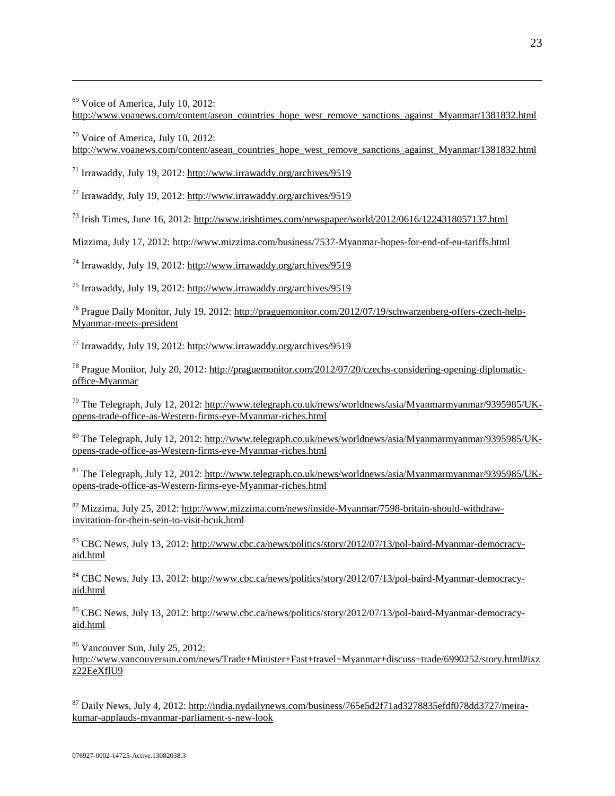$69$  Voice of America, July 10, 2012:

 $\overline{a}$ 

[http://www.voanews.com/content/asean\\_countries\\_hope\\_west\\_remove\\_sanctions\\_against\\_Myanmar/1381832.html](http://www.voanews.com/content/asean_countries_hope_west_remove_sanctions_against_burma/1381832.html)

<sup>70</sup> Voice of America, July 10, 2012: [http://www.voanews.com/content/asean\\_countries\\_hope\\_west\\_remove\\_sanctions\\_against\\_Myanmar/1381832.html](http://www.voanews.com/content/asean_countries_hope_west_remove_sanctions_against_burma/1381832.html)

 $^{71}$  Irrawaddy, July 19, 2012[: http://www.irrawaddy.org/archives/9519](http://www.irrawaddy.org/archives/9519)

<sup>72</sup> Irrawaddy, July 19, 2012:<http://www.irrawaddy.org/archives/9519>

 $^{73}$  Irish Times, June 16, 2012:<http://www.irishtimes.com/newspaper/world/2012/0616/1224318057137.html>

Mizzima, July 17, 2012: [http://www.mizzima.com/business/7537-Myanmar-hopes-for-end-of-eu-tariffs.html](http://www.mizzima.com/business/7537-burma-hopes-for-end-of-eu-tariffs.html) 

<sup>74</sup> Irrawaddy, July 19, 2012:<http://www.irrawaddy.org/archives/9519>

<sup>75</sup> Irrawaddy, July 19, 2012:<http://www.irrawaddy.org/archives/9519>

<sup>76</sup> Prague Daily Monitor, July 19, 2012: [http://praguemonitor.com/2012/07/19/schwarzenberg-offers-czech-help-](http://praguemonitor.com/2012/07/19/schwarzenberg-offers-czech-help-burma-meets-president)[Myanmar-meets-president](http://praguemonitor.com/2012/07/19/schwarzenberg-offers-czech-help-burma-meets-president)

 $^{77}$  Irrawaddy, July 19, 2012:<http://www.irrawaddy.org/archives/9519>

<sup>78</sup> Prague Monitor, July 20, 2012: [http://praguemonitor.com/2012/07/20/czechs-considering-opening-diplomatic](http://praguemonitor.com/2012/07/20/czechs-considering-opening-diplomatic-office-burma)[office-Myanmar](http://praguemonitor.com/2012/07/20/czechs-considering-opening-diplomatic-office-burma)

<sup>79</sup> The Telegraph, July 12, 2012: [http://www.telegraph.co.uk/news/worldnews/asia/Myanmarmyanmar/9395985/UK](http://www.telegraph.co.uk/news/worldnews/asia/burmamyanmar/9395985/UK-opens-trade-office-as-Western-firms-eye-Burma-riches.html)[opens-trade-office-as-Western-firms-eye-Myanmar-riches.html](http://www.telegraph.co.uk/news/worldnews/asia/burmamyanmar/9395985/UK-opens-trade-office-as-Western-firms-eye-Burma-riches.html) 

<sup>80</sup> The Telegraph, July 12, 2012: [http://www.telegraph.co.uk/news/worldnews/asia/Myanmarmyanmar/9395985/UK](http://www.telegraph.co.uk/news/worldnews/asia/burmamyanmar/9395985/UK-opens-trade-office-as-Western-firms-eye-Burma-riches.html)[opens-trade-office-as-Western-firms-eye-Myanmar-riches.html](http://www.telegraph.co.uk/news/worldnews/asia/burmamyanmar/9395985/UK-opens-trade-office-as-Western-firms-eye-Burma-riches.html) 

<sup>81</sup> The Telegraph, July 12, 2012: [http://www.telegraph.co.uk/news/worldnews/asia/Myanmarmyanmar/9395985/UK](http://www.telegraph.co.uk/news/worldnews/asia/burmamyanmar/9395985/UK-opens-trade-office-as-Western-firms-eye-Burma-riches.html)[opens-trade-office-as-Western-firms-eye-Myanmar-riches.html](http://www.telegraph.co.uk/news/worldnews/asia/burmamyanmar/9395985/UK-opens-trade-office-as-Western-firms-eye-Burma-riches.html)

<sup>82</sup> Mizzima, July 25, 2012: [http://www.mizzima.com/news/inside-Myanmar/7598-britain-should-withdraw](http://www.mizzima.com/news/inside-burma/7598-britain-should-withdraw-invitation-for-thein-sein-to-visit-bcuk.html)[invitation-for-thein-sein-to-visit-bcuk.html](http://www.mizzima.com/news/inside-burma/7598-britain-should-withdraw-invitation-for-thein-sein-to-visit-bcuk.html)

<sup>83</sup> CBC News, July 13, 2012[: http://www.cbc.ca/news/politics/story/2012/07/13/pol-baird-Myanmar-democracy](http://www.cbc.ca/news/politics/story/2012/07/13/pol-baird-burma-democracy-aid.html)[aid.html](http://www.cbc.ca/news/politics/story/2012/07/13/pol-baird-burma-democracy-aid.html) 

<sup>84</sup> CBC News, July 13, 2012[: http://www.cbc.ca/news/politics/story/2012/07/13/pol-baird-Myanmar-democracy](http://www.cbc.ca/news/politics/story/2012/07/13/pol-baird-burma-democracy-aid.html)[aid.html](http://www.cbc.ca/news/politics/story/2012/07/13/pol-baird-burma-democracy-aid.html)

<sup>85</sup> CBC News, July 13, 2012[: http://www.cbc.ca/news/politics/story/2012/07/13/pol-baird-Myanmar-democracy](http://www.cbc.ca/news/politics/story/2012/07/13/pol-baird-burma-democracy-aid.html)[aid.html](http://www.cbc.ca/news/politics/story/2012/07/13/pol-baird-burma-democracy-aid.html)

<sup>86</sup> Vancouver Sun, July 25, 2012:

[http://www.vancouversun.com/news/Trade+Minister+Fast+travel+Myanmar+discuss+trade/6990252/story.html#ixz](http://www.vancouversun.com/news/Trade+Minister+Fast+travel+Myanmar+discuss+trade/6990252/story.html#ixzz22EeXflU9) [z22EeXflU9](http://www.vancouversun.com/news/Trade+Minister+Fast+travel+Myanmar+discuss+trade/6990252/story.html#ixzz22EeXflU9)

<sup>87</sup> Daily News, July 4, 2012: [http://india.nydailynews.com/business/765e5d2f71ad3278835efdf078dd3727/meira](http://india.nydailynews.com/business/765e5d2f71ad3278835efdf078dd3727/meira-kumar-applauds-myanmar-parliament-s-new-look)[kumar-applauds-myanmar-parliament-s-new-look](http://india.nydailynews.com/business/765e5d2f71ad3278835efdf078dd3727/meira-kumar-applauds-myanmar-parliament-s-new-look)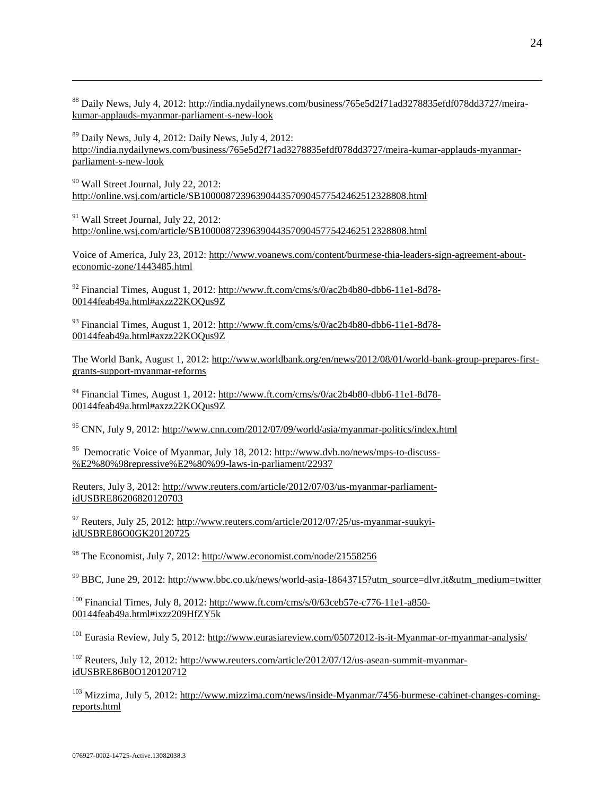<sup>88</sup> Daily News, July 4, 2012: [http://india.nydailynews.com/business/765e5d2f71ad3278835efdf078dd3727/meira](http://india.nydailynews.com/business/765e5d2f71ad3278835efdf078dd3727/meira-kumar-applauds-myanmar-parliament-s-new-look)[kumar-applauds-myanmar-parliament-s-new-look](http://india.nydailynews.com/business/765e5d2f71ad3278835efdf078dd3727/meira-kumar-applauds-myanmar-parliament-s-new-look) 

 $89$  Daily News, July 4, 2012: Daily News, July 4, 2012: [http://india.nydailynews.com/business/765e5d2f71ad3278835efdf078dd3727/meira-kumar-applauds-myanmar](http://india.nydailynews.com/business/765e5d2f71ad3278835efdf078dd3727/meira-kumar-applauds-myanmar-parliament-s-new-look)[parliament-s-new-look](http://india.nydailynews.com/business/765e5d2f71ad3278835efdf078dd3727/meira-kumar-applauds-myanmar-parliament-s-new-look) 

<sup>90</sup> Wall Street Journal, July 22, 2012: <http://online.wsj.com/article/SB10000872396390443570904577542462512328808.html>

 $91$  Wall Street Journal, July 22, 2012: <http://online.wsj.com/article/SB10000872396390443570904577542462512328808.html>

Voice of America, July 23, 2012: [http://www.voanews.com/content/burmese-thia-leaders-sign-agreement-about](http://www.voanews.com/content/burmese-thia-leaders-sign-agreement-about-economic-zone/1443485.html)[economic-zone/1443485.html](http://www.voanews.com/content/burmese-thia-leaders-sign-agreement-about-economic-zone/1443485.html)

 $92$  Financial Times, August 1, 2012: [http://www.ft.com/cms/s/0/ac2b4b80-dbb6-11e1-8d78-](http://www.ft.com/cms/s/0/ac2b4b80-dbb6-11e1-8d78-00144feab49a.html#axzz22KOQus9Z) [00144feab49a.html#axzz22KOQus9Z](http://www.ft.com/cms/s/0/ac2b4b80-dbb6-11e1-8d78-00144feab49a.html#axzz22KOQus9Z)

<sup>93</sup> Financial Times, August 1, 2012: [http://www.ft.com/cms/s/0/ac2b4b80-dbb6-11e1-8d78-](http://www.ft.com/cms/s/0/ac2b4b80-dbb6-11e1-8d78-00144feab49a.html#axzz22KOQus9Z) [00144feab49a.html#axzz22KOQus9Z](http://www.ft.com/cms/s/0/ac2b4b80-dbb6-11e1-8d78-00144feab49a.html#axzz22KOQus9Z)

The World Bank, August 1, 2012: [http://www.worldbank.org/en/news/2012/08/01/world-bank-group-prepares-first](http://www.worldbank.org/en/news/2012/08/01/world-bank-group-prepares-first-grants-support-myanmar-reforms)[grants-support-myanmar-reforms](http://www.worldbank.org/en/news/2012/08/01/world-bank-group-prepares-first-grants-support-myanmar-reforms)

<sup>94</sup> Financial Times, August 1, 2012: [http://www.ft.com/cms/s/0/ac2b4b80-dbb6-11e1-8d78-](http://www.ft.com/cms/s/0/ac2b4b80-dbb6-11e1-8d78-00144feab49a.html#axzz22KOQus9Z) [00144feab49a.html#axzz22KOQus9Z](http://www.ft.com/cms/s/0/ac2b4b80-dbb6-11e1-8d78-00144feab49a.html#axzz22KOQus9Z)

<sup>95</sup> CNN, July 9, 2012[: http://www.cnn.com/2012/07/09/world/asia/myanmar-politics/index.html](http://www.cnn.com/2012/07/09/world/asia/myanmar-politics/index.html)

<sup>96</sup> Democratic Voice of Myanmar, July 18, 2012: [http://www.dvb.no/news/mps-to-discuss-](http://www.dvb.no/news/mps-to-discuss-%E2%80%98repressive%E2%80%99-laws-in-parliament/22937) [%E2%80%98repressive%E2%80%99-laws-in-parliament/22937](http://www.dvb.no/news/mps-to-discuss-%E2%80%98repressive%E2%80%99-laws-in-parliament/22937)

Reuters, July 3, 2012: [http://www.reuters.com/article/2012/07/03/us-myanmar-parliament](http://www.reuters.com/article/2012/07/03/us-myanmar-parliament-idUSBRE86206820120703)[idUSBRE86206820120703](http://www.reuters.com/article/2012/07/03/us-myanmar-parliament-idUSBRE86206820120703) 

 $97$  Reuters, July 25, 2012: [http://www.reuters.com/article/2012/07/25/us-myanmar-suukyi](http://www.reuters.com/article/2012/07/25/us-myanmar-suukyi-idUSBRE86O0GK20120725)[idUSBRE86O0GK20120725](http://www.reuters.com/article/2012/07/25/us-myanmar-suukyi-idUSBRE86O0GK20120725) 

<sup>98</sup> The Economist, July 7, 2012:<http://www.economist.com/node/21558256>

<sup>99</sup> BBC, June 29, 2012: [http://www.bbc.co.uk/news/world-asia-18643715?utm\\_source=dlvr.it&utm\\_medium=twitter](http://www.bbc.co.uk/news/world-asia-18643715?utm_source=dlvr.it&utm_medium=twitter) 

 $100$  Financial Times, July 8, 2012: [http://www.ft.com/cms/s/0/63ceb57e-c776-11e1-a850-](http://www.ft.com/cms/s/0/63ceb57e-c776-11e1-a850-00144feab49a.html#ixzz209HfZY5k) [00144feab49a.html#ixzz209HfZY5k](http://www.ft.com/cms/s/0/63ceb57e-c776-11e1-a850-00144feab49a.html#ixzz209HfZY5k)

<sup>101</sup> Eurasia Review, July 5, 2012[: http://www.eurasiareview.com/05072012-is-it-Myanmar-or-myanmar-analysis/](http://www.eurasiareview.com/05072012-is-it-burma-or-myanmar-analysis/)

 $102$  Reuters, July 12, 2012: [http://www.reuters.com/article/2012/07/12/us-asean-summit-myanmar](http://www.reuters.com/article/2012/07/12/us-asean-summit-myanmar-idUSBRE86B0O120120712)[idUSBRE86B0O120120712](http://www.reuters.com/article/2012/07/12/us-asean-summit-myanmar-idUSBRE86B0O120120712) 

<sup>103</sup> Mizzima, July 5, 2012: [http://www.mizzima.com/news/inside-Myanmar/7456-burmese-cabinet-changes-coming](http://www.mizzima.com/news/inside-burma/7456-burmese-cabinet-changes-coming-reports.html)[reports.html](http://www.mizzima.com/news/inside-burma/7456-burmese-cabinet-changes-coming-reports.html)

 $\overline{a}$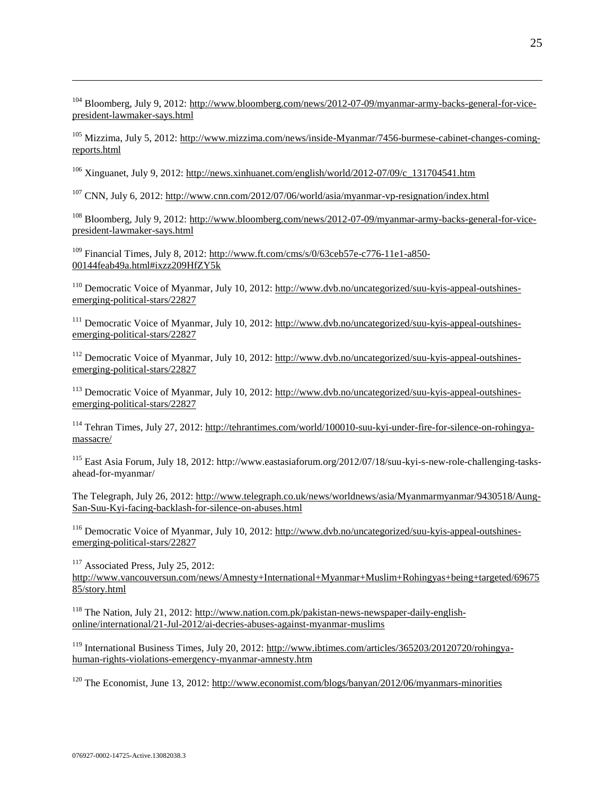<sup>104</sup> Bloomberg, July 9, 2012[: http://www.bloomberg.com/news/2012-07-09/myanmar-army-backs-general-for-vice](http://www.bloomberg.com/news/2012-07-09/myanmar-army-backs-general-for-vice-president-lawmaker-says.html)[president-lawmaker-says.html](http://www.bloomberg.com/news/2012-07-09/myanmar-army-backs-general-for-vice-president-lawmaker-says.html)

<sup>105</sup> Mizzima, July 5, 2012: [http://www.mizzima.com/news/inside-Myanmar/7456-burmese-cabinet-changes-coming](http://www.mizzima.com/news/inside-burma/7456-burmese-cabinet-changes-coming-reports.html)[reports.html](http://www.mizzima.com/news/inside-burma/7456-burmese-cabinet-changes-coming-reports.html)

 $106$  Xinguanet, July 9, 2012: [http://news.xinhuanet.com/english/world/2012-07/09/c\\_131704541.htm](http://news.xinhuanet.com/english/world/2012-07/09/c_131704541.htm)

<sup>107</sup> CNN, July 6, 2012:<http://www.cnn.com/2012/07/06/world/asia/myanmar-vp-resignation/index.html>

<sup>108</sup> Bloomberg, July 9, 2012[: http://www.bloomberg.com/news/2012-07-09/myanmar-army-backs-general-for-vice](http://www.bloomberg.com/news/2012-07-09/myanmar-army-backs-general-for-vice-president-lawmaker-says.html)[president-lawmaker-says.html](http://www.bloomberg.com/news/2012-07-09/myanmar-army-backs-general-for-vice-president-lawmaker-says.html)

<sup>109</sup> Financial Times, July 8, 2012: [http://www.ft.com/cms/s/0/63ceb57e-c776-11e1-a850-](http://www.ft.com/cms/s/0/63ceb57e-c776-11e1-a850-00144feab49a.html#ixzz209HfZY5k) [00144feab49a.html#ixzz209HfZY5k](http://www.ft.com/cms/s/0/63ceb57e-c776-11e1-a850-00144feab49a.html#ixzz209HfZY5k)

<sup>110</sup> Democratic Voice of Myanmar, July 10, 2012: [http://www.dvb.no/uncategorized/suu-kyis-appeal-outshines](http://www.dvb.no/uncategorized/suu-kyis-appeal-outshines-emerging-political-stars/22827)[emerging-political-stars/22827](http://www.dvb.no/uncategorized/suu-kyis-appeal-outshines-emerging-political-stars/22827)

<sup>111</sup> Democratic Voice of Myanmar, July 10, 2012: [http://www.dvb.no/uncategorized/suu-kyis-appeal-outshines](http://www.dvb.no/uncategorized/suu-kyis-appeal-outshines-emerging-political-stars/22827)[emerging-political-stars/22827](http://www.dvb.no/uncategorized/suu-kyis-appeal-outshines-emerging-political-stars/22827)

<sup>112</sup> Democratic Voice of Myanmar, July 10, 2012: [http://www.dvb.no/uncategorized/suu-kyis-appeal-outshines](http://www.dvb.no/uncategorized/suu-kyis-appeal-outshines-emerging-political-stars/22827)[emerging-political-stars/22827](http://www.dvb.no/uncategorized/suu-kyis-appeal-outshines-emerging-political-stars/22827)

<sup>113</sup> Democratic Voice of Myanmar, July 10, 2012: [http://www.dvb.no/uncategorized/suu-kyis-appeal-outshines](http://www.dvb.no/uncategorized/suu-kyis-appeal-outshines-emerging-political-stars/22827)[emerging-political-stars/22827](http://www.dvb.no/uncategorized/suu-kyis-appeal-outshines-emerging-political-stars/22827)

<sup>114</sup> Tehran Times, July 27, 2012: [http://tehrantimes.com/world/100010-suu-kyi-under-fire-for-silence-on-rohingya](http://tehrantimes.com/world/100010-suu-kyi-under-fire-for-silence-on-rohingya-massacre/)[massacre/](http://tehrantimes.com/world/100010-suu-kyi-under-fire-for-silence-on-rohingya-massacre/) 

<sup>115</sup> East Asia Forum, July 18, 2012: http://www.eastasiaforum.org/2012/07/18/suu-kyi-s-new-role-challenging-tasksahead-for-myanmar/

The Telegraph, July 26, 2012: [http://www.telegraph.co.uk/news/worldnews/asia/Myanmarmyanmar/9430518/Aung-](http://www.telegraph.co.uk/news/worldnews/asia/burmamyanmar/9430518/Aung-San-Suu-Kyi-facing-backlash-for-silence-on-abuses.html)[San-Suu-Kyi-facing-backlash-for-silence-on-abuses.html](http://www.telegraph.co.uk/news/worldnews/asia/burmamyanmar/9430518/Aung-San-Suu-Kyi-facing-backlash-for-silence-on-abuses.html)

<sup>116</sup> Democratic Voice of Myanmar, July 10, 2012: [http://www.dvb.no/uncategorized/suu-kyis-appeal-outshines](http://www.dvb.no/uncategorized/suu-kyis-appeal-outshines-emerging-political-stars/22827)[emerging-political-stars/22827](http://www.dvb.no/uncategorized/suu-kyis-appeal-outshines-emerging-political-stars/22827)

<sup>117</sup> Associated Press, July 25, 2012:

 $\overline{a}$ 

http://www.vancouversun.com/news/Amnesty+International+Myanmar+Muslim+Rohingyas+being+targeted/69675 85/story.html

<sup>118</sup> The Nation, July 21, 2012: http://www.nation.com.pk/pakistan-news-newspaper-daily-englishonline/international/21-Jul-2012/ai-decries-abuses-against-myanmar-muslims

<sup>119</sup> International Business Times, July 20, 2012: http://www.ibtimes.com/articles/365203/20120720/rohingyahuman-rights-violations-emergency-myanmar-amnesty.htm

<sup>120</sup> The Economist, June 13, 2012: http://www.economist.com/blogs/banyan/2012/06/myanmars-minorities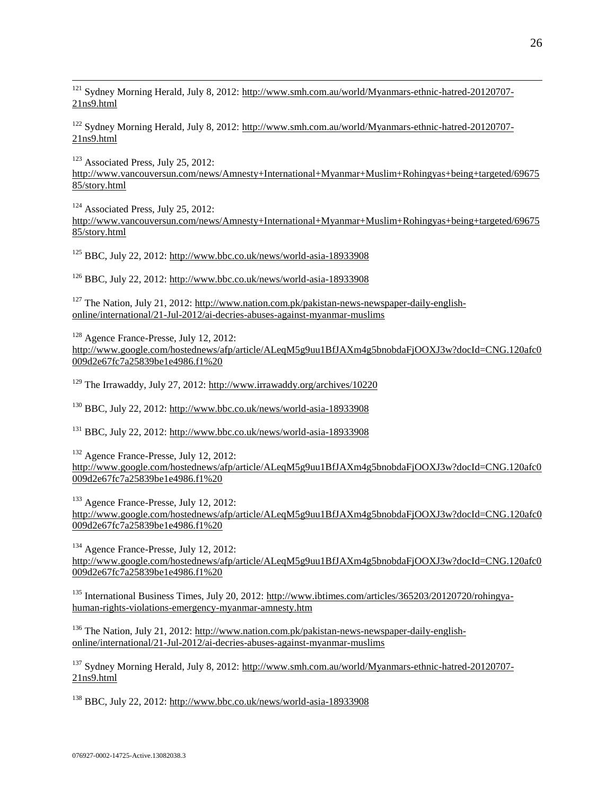<sup>121</sup> Sydney Morning Herald, July 8, 2012: http://www.smh.com.au/world/Myanmars-ethnic-hatred-20120707-21ns9.html

<sup>122</sup> Sydney Morning Herald, July 8, 2012: http://www.smh.com.au/world/Myanmars-ethnic-hatred-20120707- 21ns9.html

<sup>123</sup> Associated Press, July 25, 2012: http://www.vancouversun.com/news/Amnesty+International+Myanmar+Muslim+Rohingyas+being+targeted/69675 85/story.html

 $124$  Associated Press, July 25, 2012:

 $\overline{a}$ 

http://www.vancouversun.com/news/Amnesty+International+Myanmar+Muslim+Rohingyas+being+targeted/69675 85/story.html

 $125$  BBC, July 22, 2012: http://www.bbc.co.uk/news/world-asia-18933908

 $126$  BBC, July 22, 2012: http://www.bbc.co.uk/news/world-asia-18933908

<sup>127</sup> The Nation, July 21, 2012: http://www.nation.com.pk/pakistan-news-newspaper-daily-englishonline/international/21-Jul-2012/ai-decries-abuses-against-myanmar-muslims

<sup>128</sup> Agence France-Presse, July 12, 2012: http://www.google.com/hostednews/afp/article/ALeqM5g9uu1BfJAXm4g5bnobdaFjOOXJ3w?docId=CNG.120afc0 009d2e67fc7a25839be1e4986.f1%20

<sup>129</sup> The Irrawaddy, July 27, 2012: http://www.irrawaddy.org/archives/10220

<sup>130</sup> BBC, July 22, 2012: http://www.bbc.co.uk/news/world-asia-18933908

<sup>131</sup> BBC, July 22, 2012: http://www.bbc.co.uk/news/world-asia-18933908

<sup>132</sup> Agence France-Presse, July 12, 2012: http://www.google.com/hostednews/afp/article/ALeqM5g9uu1BfJAXm4g5bnobdaFjOOXJ3w?docId=CNG.120afc0 009d2e67fc7a25839be1e4986.f1%20

<sup>133</sup> Agence France-Presse, July 12, 2012: http://www.google.com/hostednews/afp/article/ALeqM5g9uu1BfJAXm4g5bnobdaFjOOXJ3w?docId=CNG.120afc0 009d2e67fc7a25839be1e4986.f1%20

<sup>134</sup> Agence France-Presse, July 12, 2012: http://www.google.com/hostednews/afp/article/ALeqM5g9uu1BfJAXm4g5bnobdaFjOOXJ3w?docId=CNG.120afc0 009d2e67fc7a25839be1e4986.f1%20

<sup>135</sup> International Business Times, July 20, 2012: http://www.ibtimes.com/articles/365203/20120720/rohingyahuman-rights-violations-emergency-myanmar-amnesty.htm

<sup>136</sup> The Nation, July 21, 2012: http://www.nation.com.pk/pakistan-news-newspaper-daily-englishonline/international/21-Jul-2012/ai-decries-abuses-against-myanmar-muslims

<sup>137</sup> Sydney Morning Herald, July 8, 2012: http://www.smh.com.au/world/Myanmars-ethnic-hatred-20120707- 21ns9.html

 $138$  BBC, July 22, 2012: http://www.bbc.co.uk/news/world-asia-18933908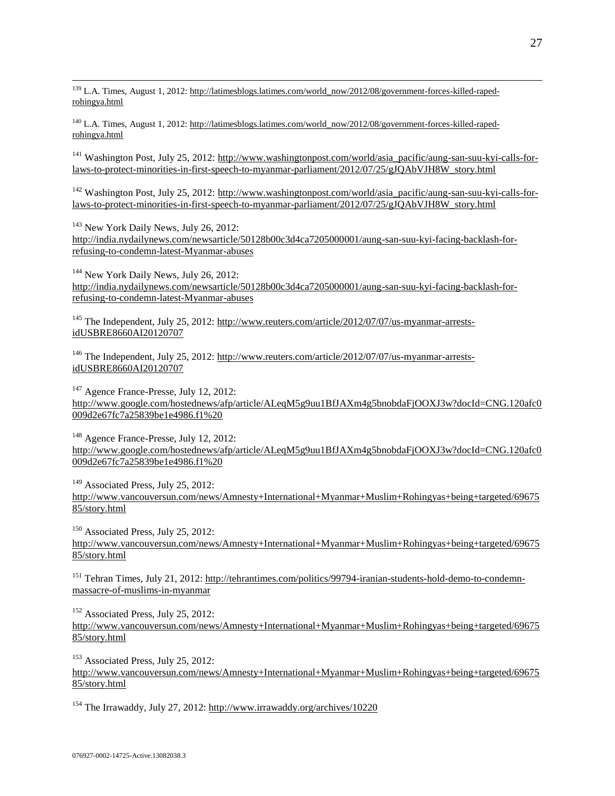$\overline{a}$ <sup>139</sup> L.A. Times, August 1, 2012: http://latimesblogs.latimes.com/world\_now/2012/08/government-forces-killed-rapedrohingya.html

<sup>140</sup> L.A. Times, August 1, 2012: http://latimesblogs.latimes.com/world\_now/2012/08/government-forces-killed-rapedrohingya.html

<sup>141</sup> Washington Post, July 25, 2012: http://www.washingtonpost.com/world/asia\_pacific/aung-san-suu-kyi-calls-forlaws-to-protect-minorities-in-first-speech-to-myanmar-parliament/2012/07/25/gJQAbVJH8W\_story.html

 $142$  Washington Post, July 25, 2012: http://www.washingtonpost.com/world/asia\_pacific/aung-san-suu-kyi-calls-forlaws-to-protect-minorities-in-first-speech-to-myanmar-parliament/2012/07/25/gJQAbVJH8W\_story.html

<sup>143</sup> New York Daily News, July 26, 2012: http://india.nydailynews.com/newsarticle/50128b00c3d4ca7205000001/aung-san-suu-kyi-facing-backlash-forrefusing-to-condemn-latest-Myanmar-abuses

<sup>144</sup> New York Daily News, July 26, 2012: http://india.nydailynews.com/newsarticle/50128b00c3d4ca7205000001/aung-san-suu-kyi-facing-backlash-forrefusing-to-condemn-latest-Myanmar-abuses

<sup>145</sup> The Independent, July 25, 2012: http://www.reuters.com/article/2012/07/07/us-myanmar-arrestsidUSBRE8660AI20120707

<sup>146</sup> The Independent, July 25, 2012: http://www.reuters.com/article/2012/07/07/us-myanmar-arrestsidUSBRE8660AI20120707

<sup>147</sup> Agence France-Presse, July 12, 2012: http://www.google.com/hostednews/afp/article/ALeqM5g9uu1BfJAXm4g5bnobdaFjOOXJ3w?docId=CNG.120afc0 009d2e67fc7a25839be1e4986.f1%20

<sup>148</sup> Agence France-Presse, July 12, 2012: http://www.google.com/hostednews/afp/article/ALeqM5g9uu1BfJAXm4g5bnobdaFjOOXJ3w?docId=CNG.120afc0 009d2e67fc7a25839be1e4986.f1%20

<sup>149</sup> Associated Press, July 25, 2012: http://www.vancouversun.com/news/Amnesty+International+Myanmar+Muslim+Rohingyas+being+targeted/69675 85/story.html

<sup>150</sup> Associated Press, July 25, 2012: http://www.vancouversun.com/news/Amnesty+International+Myanmar+Muslim+Rohingyas+being+targeted/69675 85/story.html

<sup>151</sup> Tehran Times, July 21, 2012: http://tehrantimes.com/politics/99794-iranian-students-hold-demo-to-condemnmassacre-of-muslims-in-myanmar

<sup>152</sup> Associated Press, July 25, 2012: http://www.vancouversun.com/news/Amnesty+International+Myanmar+Muslim+Rohingyas+being+targeted/69675 85/story.html

<sup>153</sup> Associated Press, July 25, 2012: http://www.vancouversun.com/news/Amnesty+International+Myanmar+Muslim+Rohingyas+being+targeted/69675 85/story.html

<sup>154</sup> The Irrawaddy, July 27, 2012: http://www.irrawaddy.org/archives/10220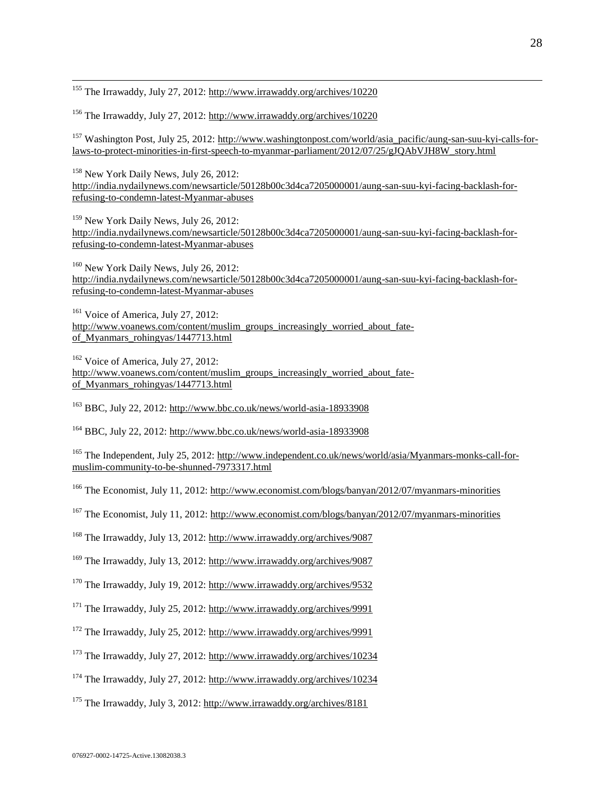<sup>155</sup> The Irrawaddy, July 27, 2012: http://www.irrawaddy.org/archives/10220

 $\overline{a}$ 

<sup>156</sup> The Irrawaddy, July 27, 2012: http://www.irrawaddy.org/archives/10220

<sup>157</sup> Washington Post, July 25, 2012: http://www.washingtonpost.com/world/asia\_pacific/aung-san-suu-kyi-calls-forlaws-to-protect-minorities-in-first-speech-to-myanmar-parliament/2012/07/25/gJQAbVJH8W\_story.html

<sup>158</sup> New York Daily News, July 26, 2012: http://india.nydailynews.com/newsarticle/50128b00c3d4ca7205000001/aung-san-suu-kyi-facing-backlash-forrefusing-to-condemn-latest-Myanmar-abuses

<sup>159</sup> New York Daily News, July 26, 2012: http://india.nydailynews.com/newsarticle/50128b00c3d4ca7205000001/aung-san-suu-kyi-facing-backlash-forrefusing-to-condemn-latest-Myanmar-abuses

<sup>160</sup> New York Daily News, July 26, 2012: http://india.nydailynews.com/newsarticle/50128b00c3d4ca7205000001/aung-san-suu-kyi-facing-backlash-forrefusing-to-condemn-latest-Myanmar-abuses

 $161$  Voice of America, July 27, 2012: http://www.voanews.com/content/muslim\_groups\_increasingly\_worried\_about\_fateof\_Myanmars\_rohingyas/1447713.html

<sup>162</sup> Voice of America, July 27, 2012: http://www.voanews.com/content/muslim\_groups\_increasingly\_worried\_about\_fateof\_Myanmars\_rohingyas/1447713.html

<sup>163</sup> BBC, July 22, 2012: http://www.bbc.co.uk/news/world-asia-18933908

<sup>164</sup> BBC, July 22, 2012: http://www.bbc.co.uk/news/world-asia-18933908

<sup>165</sup> The Independent, July 25, 2012: http://www.independent.co.uk/news/world/asia/Myanmars-monks-call-formuslim-community-to-be-shunned-7973317.html

<sup>166</sup> The Economist, July 11, 2012: http://www.economist.com/blogs/banyan/2012/07/myanmars-minorities

<sup>167</sup> The Economist, July 11, 2012: http://www.economist.com/blogs/banyan/2012/07/myanmars-minorities

<sup>168</sup> The Irrawaddy, July 13, 2012: http://www.irrawaddy.org/archives/9087

<sup>169</sup> The Irrawaddy, July 13, 2012: http://www.irrawaddy.org/archives/9087

<sup>170</sup> The Irrawaddy, July 19, 2012: http://www.irrawaddy.org/archives/9532

<sup>171</sup> The Irrawaddy, July 25, 2012: http://www.irrawaddy.org/archives/9991

<sup>172</sup> The Irrawaddy, July 25, 2012: http://www.irrawaddy.org/archives/9991

<sup>173</sup> The Irrawaddy, July 27, 2012: http://www.irrawaddy.org/archives/10234

<sup>174</sup> The Irrawaddy, July 27, 2012: http://www.irrawaddy.org/archives/10234

<sup>175</sup> The Irrawaddy, July 3, 2012: http://www.irrawaddy.org/archives/8181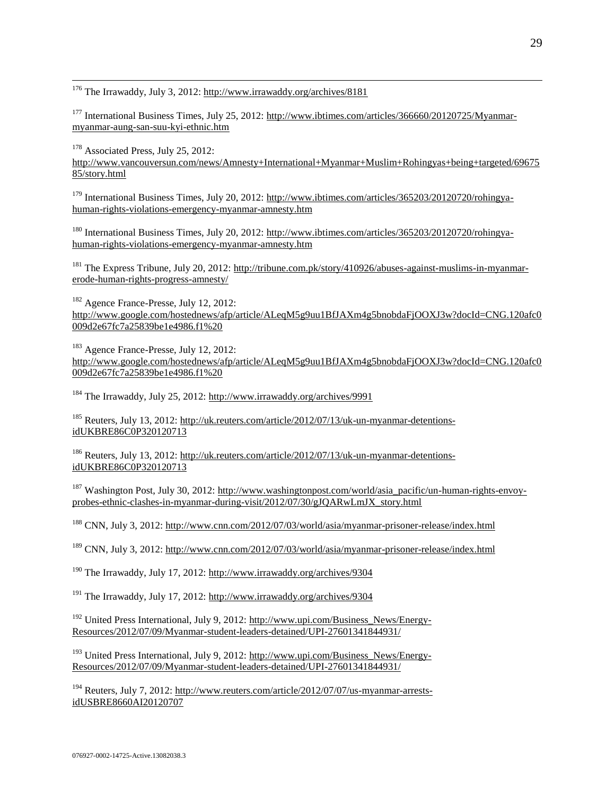<sup>176</sup> The Irrawaddy, July 3, 2012: http://www.irrawaddy.org/archives/8181

<sup>177</sup> International Business Times, July 25, 2012: http://www.ibtimes.com/articles/366660/20120725/Myanmarmyanmar-aung-san-suu-kyi-ethnic.htm

<sup>178</sup> Associated Press, July 25, 2012:

 $\overline{a}$ 

http://www.vancouversun.com/news/Amnesty+International+Myanmar+Muslim+Rohingyas+being+targeted/69675 85/story.html

<sup>179</sup> International Business Times, July 20, 2012: http://www.ibtimes.com/articles/365203/20120720/rohingyahuman-rights-violations-emergency-myanmar-amnesty.htm

<sup>180</sup> International Business Times, July 20, 2012: http://www.ibtimes.com/articles/365203/20120720/rohingyahuman-rights-violations-emergency-myanmar-amnesty.htm

<sup>181</sup> The Express Tribune, July 20, 2012: http://tribune.com.pk/story/410926/abuses-against-muslims-in-myanmarerode-human-rights-progress-amnesty/

<sup>182</sup> Agence France-Presse, July 12, 2012: http://www.google.com/hostednews/afp/article/ALeqM5g9uu1BfJAXm4g5bnobdaFjOOXJ3w?docId=CNG.120afc0 009d2e67fc7a25839be1e4986.f1%20

<sup>183</sup> Agence France-Presse, July 12, 2012: http://www.google.com/hostednews/afp/article/ALeqM5g9uu1BfJAXm4g5bnobdaFjOOXJ3w?docId=CNG.120afc0 009d2e67fc7a25839be1e4986.f1%20

<sup>184</sup> The Irrawaddy, July 25, 2012: http://www.irrawaddy.org/archives/9991

<sup>185</sup> Reuters, July 13, 2012: [http://uk.reuters.com/article/2012/07/13/uk-un-myanmar-detentions](http://uk.reuters.com/article/2012/07/13/uk-un-myanmar-detentions-idUKBRE86C0P320120713)[idUKBRE86C0P320120713](http://uk.reuters.com/article/2012/07/13/uk-un-myanmar-detentions-idUKBRE86C0P320120713)

<sup>186</sup> Reuters, July 13, 2012: [http://uk.reuters.com/article/2012/07/13/uk-un-myanmar-detentions](http://uk.reuters.com/article/2012/07/13/uk-un-myanmar-detentions-idUKBRE86C0P320120713)[idUKBRE86C0P320120713](http://uk.reuters.com/article/2012/07/13/uk-un-myanmar-detentions-idUKBRE86C0P320120713)

<sup>187</sup> Washington Post, July 30, 2012[: http://www.washingtonpost.com/world/asia\\_pacific/un-human-rights-envoy](http://www.washingtonpost.com/world/asia_pacific/un-human-rights-envoy-probes-ethnic-clashes-in-myanmar-during-visit/2012/07/30/gJQARwLmJX_story.html)[probes-ethnic-clashes-in-myanmar-during-visit/2012/07/30/gJQARwLmJX\\_story.html](http://www.washingtonpost.com/world/asia_pacific/un-human-rights-envoy-probes-ethnic-clashes-in-myanmar-during-visit/2012/07/30/gJQARwLmJX_story.html)

<sup>188</sup> CNN, July 3, 2012: http://www.cnn.com/2012/07/03/world/asia/myanmar-prisoner-release/index.html

<sup>189</sup> CNN, July 3, 2012: http://www.cnn.com/2012/07/03/world/asia/myanmar-prisoner-release/index.html

<sup>190</sup> The Irrawaddy, July 17, 2012: http://www.irrawaddy.org/archives/9304

<sup>191</sup> The Irrawaddy, July 17, 2012: http://www.irrawaddy.org/archives/9304

<sup>192</sup> United Press International, July 9, 2012: http://www.upi.com/Business\_News/Energy-Resources/2012/07/09/Myanmar-student-leaders-detained/UPI-27601341844931/

<sup>193</sup> United Press International, July 9, 2012: http://www.upi.com/Business\_News/Energy-Resources/2012/07/09/Myanmar-student-leaders-detained/UPI-27601341844931/

<sup>194</sup> Reuters, July 7, 2012: http://www.reuters.com/article/2012/07/07/us-myanmar-arrestsidUSBRE8660AI20120707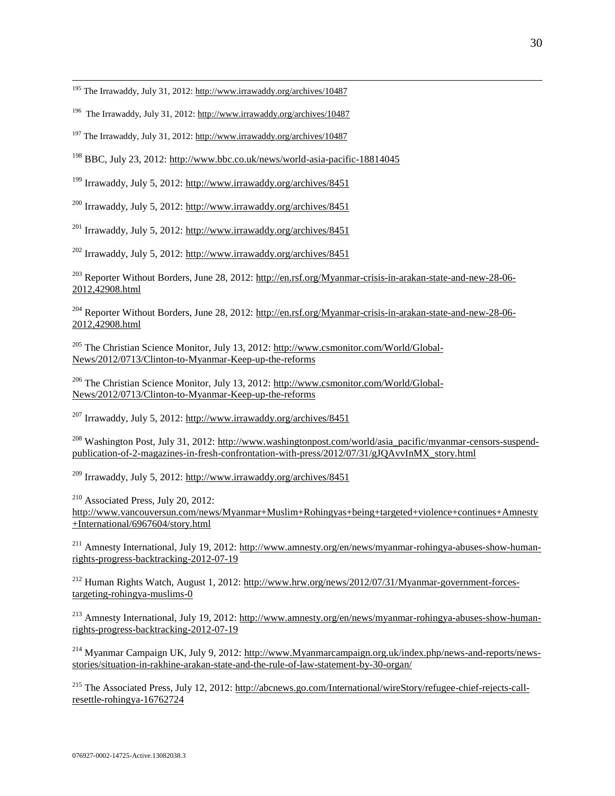<sup>195</sup> The Irrawaddy, July 31, 2012: http://www.irrawaddy.org/archives/10487

 $\overline{a}$ 

<sup>196</sup> The Irrawaddy, July 31, 2012: http://www.irrawaddy.org/archives/10487

<sup>197</sup> The Irrawaddy, July 31, 2012: http://www.irrawaddy.org/archives/10487

<sup>198</sup> BBC, July 23, 2012: http://www.bbc.co.uk/news/world-asia-pacific-18814045

<sup>199</sup> Irrawaddy, July 5, 2012: http://www.irrawaddy.org/archives/8451

<sup>200</sup> Irrawaddy, July 5, 2012: http://www.irrawaddy.org/archives/8451

<sup>201</sup> Irrawaddy, July 5, 2012: http://www.irrawaddy.org/archives/8451

<sup>202</sup> Irrawaddy, July 5, 2012: http://www.irrawaddy.org/archives/8451

<sup>203</sup> Reporter Without Borders, June 28, 2012: http://en.rsf.org/Myanmar-crisis-in-arakan-state-and-new-28-06-2012,42908.html

<sup>204</sup> Reporter Without Borders, June 28, 2012: http://en.rsf.org/Myanmar-crisis-in-arakan-state-and-new-28-06-2012,42908.html

<sup>205</sup> The Christian Science Monitor, July 13, 2012: http://www.csmonitor.com/World/Global-News/2012/0713/Clinton-to-Myanmar-Keep-up-the-reforms

<sup>206</sup> The Christian Science Monitor, July 13, 2012: http://www.csmonitor.com/World/Global-News/2012/0713/Clinton-to-Myanmar-Keep-up-the-reforms

 $^{207}$  Irrawaddy, July 5, 2012: http://www.irrawaddy.org/archives/8451

<sup>208</sup> Washington Post, July 31, 2012: http://www.washingtonpost.com/world/asia\_pacific/myanmar-censors-suspendpublication-of-2-magazines-in-fresh-confrontation-with-press/2012/07/31/gJQAvvInMX\_story.html

<sup>209</sup> Irrawaddy, July 5, 2012: http://www.irrawaddy.org/archives/8451

<sup>210</sup> Associated Press, July 20, 2012: http://www.vancouversun.com/news/Myanmar+Muslim+Rohingyas+being+targeted+violence+continues+Amnesty +International/6967604/story.html

<sup>211</sup> Amnesty International, July 19, 2012: http://www.amnesty.org/en/news/myanmar-rohingya-abuses-show-humanrights-progress-backtracking-2012-07-19

<sup>212</sup> Human Rights Watch, August 1, 2012: http://www.hrw.org/news/2012/07/31/Myanmar-government-forcestargeting-rohingya-muslims-0

<sup>213</sup> Amnesty International, July 19, 2012: http://www.amnesty.org/en/news/myanmar-rohingya-abuses-show-humanrights-progress-backtracking-2012-07-19

<sup>214</sup> Myanmar Campaign UK, July 9, 2012: http://www.Myanmarcampaign.org.uk/index.php/news-and-reports/newsstories/situation-in-rakhine-arakan-state-and-the-rule-of-law-statement-by-30-organ/

<sup>215</sup> The Associated Press, July 12, 2012: http://abcnews.go.com/International/wireStory/refugee-chief-rejects-callresettle-rohingya-16762724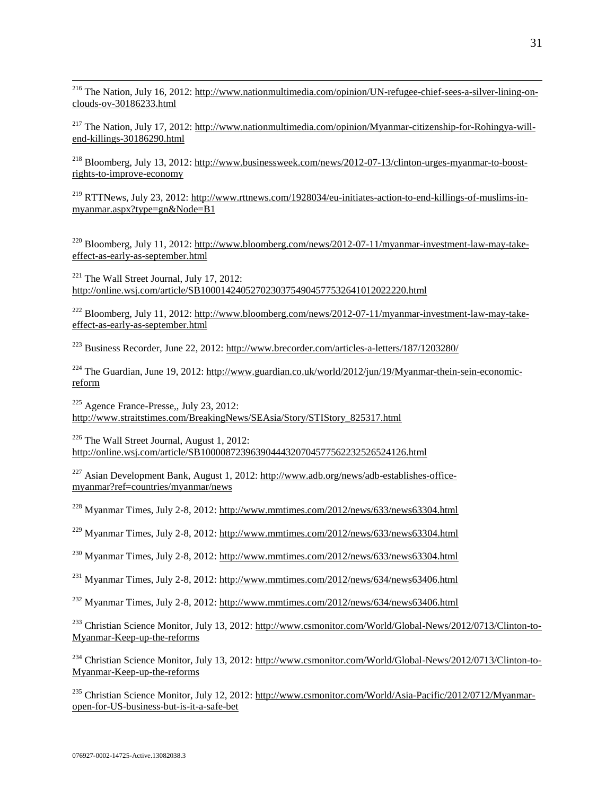<sup>216</sup> The Nation, July 16, 2012: http://www.nationmultimedia.com/opinion/UN-refugee-chief-sees-a-silver-lining-onclouds-ov-30186233.html

<sup>217</sup> The Nation, July 17, 2012: http://www.nationmultimedia.com/opinion/Myanmar-citizenship-for-Rohingya-willend-killings-30186290.html

<sup>218</sup> Bloomberg, July 13, 2012: http://www.businessweek.com/news/2012-07-13/clinton-urges-myanmar-to-boostrights-to-improve-economy

<sup>219</sup> RTTNews, July 23, 2012: http://www.rttnews.com/1928034/eu-initiates-action-to-end-killings-of-muslims-inmyanmar.aspx?type=gn&Node=B1

<sup>220</sup> Bloomberg, July 11, 2012: http://www.bloomberg.com/news/2012-07-11/myanmar-investment-law-may-takeeffect-as-early-as-september.html

 $221$  The Wall Street Journal, July 17, 2012: http://online.wsj.com/article/SB10001424052702303754904577532641012022220.html

<sup>222</sup> Bloomberg, July 11, 2012: http://www.bloomberg.com/news/2012-07-11/myanmar-investment-law-may-takeeffect-as-early-as-september.html

<sup>223</sup> Business Recorder, June 22, 2012:<http://www.brecorder.com/articles-a-letters/187/1203280/>

 $^{224}$  The Guardian, June 19, 2012[: http://www.guardian.co.uk/world/2012/jun/19/Myanmar-thein-sein-economic](http://www.guardian.co.uk/world/2012/jun/19/burma-thein-sein-economic-reform)[reform](http://www.guardian.co.uk/world/2012/jun/19/burma-thein-sein-economic-reform)

 $225$  Agence France-Presse., July 23, 2012: http://www.straitstimes.com/BreakingNews/SEAsia/Story/STIStory\_825317.html

 $226$  The Wall Street Journal, August 1, 2012: http://online.wsj.com/article/SB10000872396390444320704577562232526524126.html

<sup>227</sup> Asian Development Bank, August 1, 2012: http://www.adb.org/news/adb-establishes-officemyanmar?ref=countries/myanmar/news

<sup>228</sup> Myanmar Times, July 2-8, 2012: http://www.mmtimes.com/2012/news/633/news63304.html

<sup>229</sup> Myanmar Times, July 2-8, 2012: http://www.mmtimes.com/2012/news/633/news63304.html

<sup>230</sup> Myanmar Times, July 2-8, 2012: http://www.mmtimes.com/2012/news/633/news63304.html

<sup>231</sup> Myanmar Times, July 2-8, 2012: http://www.mmtimes.com/2012/news/634/news63406.html

<sup>232</sup> Myanmar Times, July 2-8, 2012: http://www.mmtimes.com/2012/news/634/news63406.html

<sup>233</sup> Christian Science Monitor, July 13, 2012: http://www.csmonitor.com/World/Global-News/2012/0713/Clinton-to-Myanmar-Keep-up-the-reforms

<sup>234</sup> Christian Science Monitor, July 13, 2012: http://www.csmonitor.com/World/Global-News/2012/0713/Clinton-to-Myanmar-Keep-up-the-reforms

<sup>235</sup> Christian Science Monitor, July 12, 2012: http://www.csmonitor.com/World/Asia-Pacific/2012/0712/Myanmaropen-for-US-business-but-is-it-a-safe-bet

 $\overline{a}$